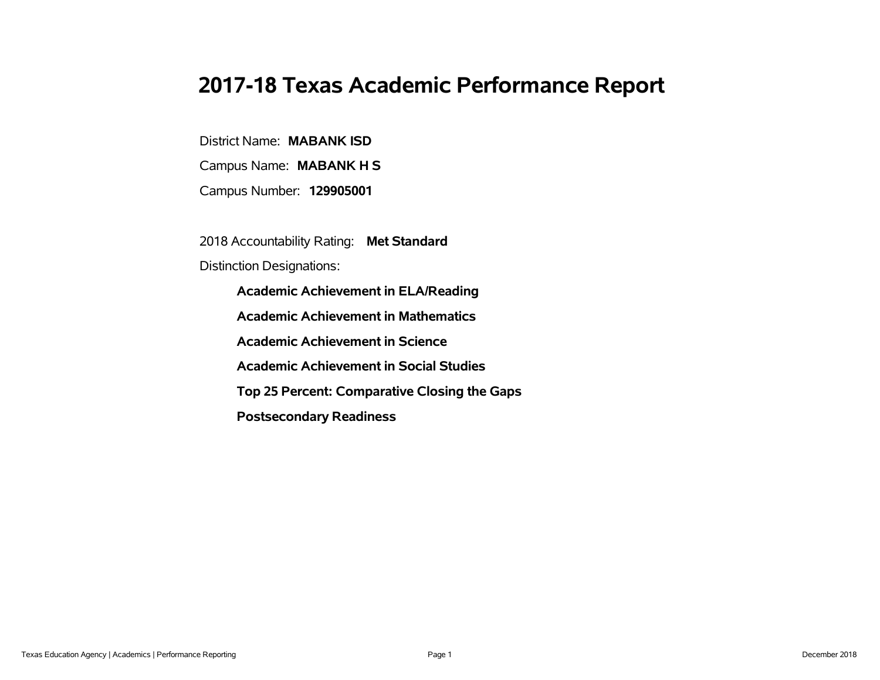# **2017-18 Texas Academic Performance Report**

District Name: **MABANK ISD**

Campus Name: **MABANK H S**

Campus Number: **129905001**

2018 Accountability Rating: **Met Standard**

Distinction Designations:

**Academic Achievement in ELA/Reading**

**Academic Achievement in Mathematics**

**Academic Achievement in Science**

**Academic Achievement in Social Studies**

**Top 25 Percent: Comparative Closing the Gaps**

**Postsecondary Readiness**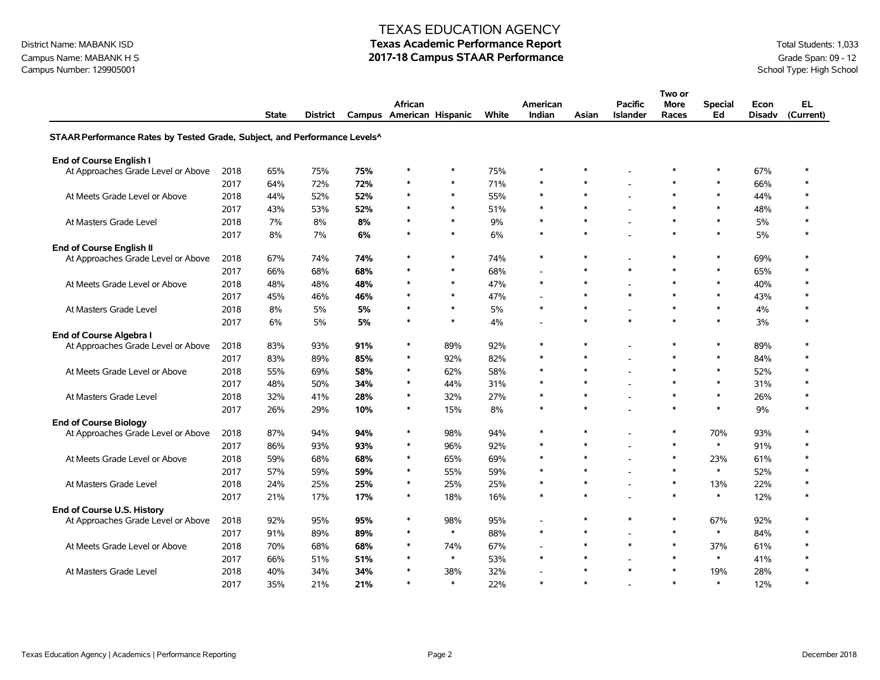# District Name: MABANK ISD **Texas Academic Performance Report Texas Academic Performance Report** Total Students: 1,033

Campus Name: MABANK H S<br>Campus Number: 129905001<br>School Type: High School

|                                                                           |      |              |                 |     |                                     |        |       |                    |        |                                   | Two or        |                      |                       |                  |
|---------------------------------------------------------------------------|------|--------------|-----------------|-----|-------------------------------------|--------|-------|--------------------|--------|-----------------------------------|---------------|----------------------|-----------------------|------------------|
|                                                                           |      | <b>State</b> | <b>District</b> |     | African<br>Campus American Hispanic |        | White | American<br>Indian | Asian  | <b>Pacific</b><br><b>Islander</b> | More<br>Races | <b>Special</b><br>Ed | Econ<br><b>Disadv</b> | EL.<br>(Current) |
| STAAR Performance Rates by Tested Grade, Subject, and Performance Levels^ |      |              |                 |     |                                     |        |       |                    |        |                                   |               |                      |                       |                  |
| <b>End of Course English I</b>                                            |      |              |                 |     |                                     |        |       |                    |        |                                   |               |                      |                       |                  |
| At Approaches Grade Level or Above                                        | 2018 | 65%          | 75%             | 75% | $\ast$                              | *      | 75%   | $\ast$             | $\ast$ |                                   | ∗             | $\ast$               | 67%                   | $\ast$           |
|                                                                           | 2017 | 64%          | 72%             | 72% | $\ast$                              | $\ast$ | 71%   | $\ast$             | $\ast$ |                                   | $\ast$        | $\ast$               | 66%                   | $\ast$           |
| At Meets Grade Level or Above                                             | 2018 | 44%          | 52%             | 52% | $\ast$                              | $\ast$ | 55%   | $\ast$             | $\ast$ |                                   | $\ast$        | $\ast$               | 44%                   | $\ast$           |
|                                                                           | 2017 | 43%          | 53%             | 52% | $\ast$                              | $\ast$ | 51%   | $\ast$             | $\ast$ |                                   | $\ast$        | $\ast$               | 48%                   | $\ast$           |
| At Masters Grade Level                                                    | 2018 | 7%           | 8%              | 8%  | $\ast$                              | $\ast$ | 9%    | $\ast$             | $\ast$ | $\overline{\phantom{a}}$          | $\ast$        | $\ast$               | 5%                    | $\ast$           |
|                                                                           | 2017 | 8%           | 7%              | 6%  | $\ast$                              | $\ast$ | 6%    | $\ast$             | $\ast$ |                                   | $\ast$        | $\ast$               | 5%                    | $\ast$           |
| <b>End of Course English II</b>                                           |      |              |                 |     |                                     |        |       |                    |        |                                   |               |                      |                       |                  |
| At Approaches Grade Level or Above                                        | 2018 | 67%          | 74%             | 74% | $\ast$                              | $\ast$ | 74%   | $\ast$             | $\ast$ |                                   | $\ast$        | $\ast$               | 69%                   | $\ast$           |
|                                                                           | 2017 | 66%          | 68%             | 68% | $\ast$                              | $\ast$ | 68%   | L,                 | $\ast$ | $\star$                           | $\ast$        | $\ast$               | 65%                   | $\ast$           |
| At Meets Grade Level or Above                                             | 2018 | 48%          | 48%             | 48% | $\ast$                              | $\ast$ | 47%   | $\ast$             | $\ast$ |                                   | $\ast$        | $\ast$               | 40%                   | $\ast$           |
|                                                                           | 2017 | 45%          | 46%             | 46% |                                     | $\ast$ | 47%   |                    | $\ast$ | $\star$                           | $\ast$        | $\ast$               | 43%                   | $\ast$           |
| At Masters Grade Level                                                    | 2018 | 8%           | 5%              | 5%  | $\ast$                              | $\ast$ | 5%    | $\ast$             | $\ast$ | $\overline{\phantom{a}}$          | $\ast$        | $\ast$               | 4%                    | $\ast$           |
|                                                                           | 2017 | 6%           | 5%              | 5%  | $\ast$                              | $\ast$ | 4%    | L,                 | $\ast$ | $\ast$                            | $\ast$        | $\ast$               | 3%                    | $\ast$           |
| End of Course Algebra I                                                   |      |              |                 |     |                                     |        |       |                    |        |                                   |               |                      |                       |                  |
| At Approaches Grade Level or Above                                        | 2018 | 83%          | 93%             | 91% | $\ast$                              | 89%    | 92%   | $\ast$             | $\ast$ | $\overline{\phantom{a}}$          | $\ast$        | $\ast$               | 89%                   | $\ast$           |
|                                                                           | 2017 | 83%          | 89%             | 85% | $\ast$                              | 92%    | 82%   | $\ast$             | $\ast$ |                                   | $\ast$        | $\ast$               | 84%                   | $\ast$           |
| At Meets Grade Level or Above                                             | 2018 | 55%          | 69%             | 58% | $\ast$                              | 62%    | 58%   | $\ast$             | $\ast$ |                                   | $\ast$        | $\ast$               | 52%                   | $\ast$           |
|                                                                           | 2017 | 48%          | 50%             | 34% | $\ast$                              | 44%    | 31%   | $\ast$             | $\ast$ |                                   | $\ast$        | $\ast$               | 31%                   | $\ast$           |
| At Masters Grade Level                                                    | 2018 | 32%          | 41%             | 28% | $\ast$                              | 32%    | 27%   | $\ast$             | $\ast$ | $\overline{\phantom{a}}$          | $\ast$        | $\ast$               | 26%                   | $\ast$           |
|                                                                           | 2017 | 26%          | 29%             | 10% | $\ast$                              | 15%    | 8%    | $\ast$             | $\ast$ |                                   | $\ast$        | $\ast$               | 9%                    | $\ast$           |
| <b>End of Course Biology</b>                                              |      |              |                 |     |                                     |        |       |                    |        |                                   |               |                      |                       |                  |
| At Approaches Grade Level or Above                                        | 2018 | 87%          | 94%             | 94% | $\ast$                              | 98%    | 94%   | $\ast$             | $\ast$ | $\overline{\phantom{a}}$          | $\ast$        | 70%                  | 93%                   | $\ast$           |
|                                                                           | 2017 | 86%          | 93%             | 93% | $\ast$                              | 96%    | 92%   | $\ast$             | $\ast$ |                                   | $\ast$        | $\ast$               | 91%                   | $\ast$           |
| At Meets Grade Level or Above                                             | 2018 | 59%          | 68%             | 68% | $\ast$                              | 65%    | 69%   | *                  | $\ast$ |                                   | $\ast$        | 23%                  | 61%                   | $\ast$           |
|                                                                           | 2017 | 57%          | 59%             | 59% | $\ast$                              | 55%    | 59%   | $\ast$             | $\ast$ |                                   | $\ast$        | $\ast$               | 52%                   | $\ast$           |
| At Masters Grade Level                                                    | 2018 | 24%          | 25%             | 25% | $\ast$                              | 25%    | 25%   | $\ast$             | $\ast$ |                                   | $\ast$        | 13%                  | 22%                   | $\ast$           |
|                                                                           | 2017 | 21%          | 17%             | 17% | $\ast$                              | 18%    | 16%   | $\ast$             | $\ast$ |                                   | $\ast$        | $\ast$               | 12%                   | $\ast$           |
| End of Course U.S. History                                                |      |              |                 |     |                                     |        |       |                    |        |                                   |               |                      |                       |                  |
| At Approaches Grade Level or Above                                        | 2018 | 92%          | 95%             | 95% | $\ast$                              | 98%    | 95%   | $\overline{a}$     | $\ast$ | $\ast$                            | $\ast$        | 67%                  | 92%                   | $\ast$           |
|                                                                           | 2017 | 91%          | 89%             | 89% | $\ast$                              | $\ast$ | 88%   | $\ast$             | $\ast$ | $\overline{\phantom{a}}$          | $\ast$        | $\ast$               | 84%                   | $\ast$           |
| At Meets Grade Level or Above                                             | 2018 | 70%          | 68%             | 68% | $\ast$                              | 74%    | 67%   | $\overline{a}$     | $\ast$ | $\ast$                            | $\ast$        | 37%                  | 61%                   | $\ast$           |
|                                                                           | 2017 | 66%          | 51%             | 51% | $\ast$                              | $\ast$ | 53%   | $\ast$             | $\ast$ |                                   | $\ast$        | $\ast$               | 41%                   | $\ast$           |
| At Masters Grade Level                                                    | 2018 | 40%          | 34%             | 34% |                                     | 38%    | 32%   |                    | $\ast$ | $\ast$                            | $\ast$        | 19%                  | 28%                   | $\ast$           |
|                                                                           | 2017 | 35%          | 21%             | 21% | $\ast$                              | $\ast$ | 22%   | $\ast$             | $\ast$ |                                   | $\ast$        | $\ast$               | 12%                   | $\ast$           |

Campus Number: 129905001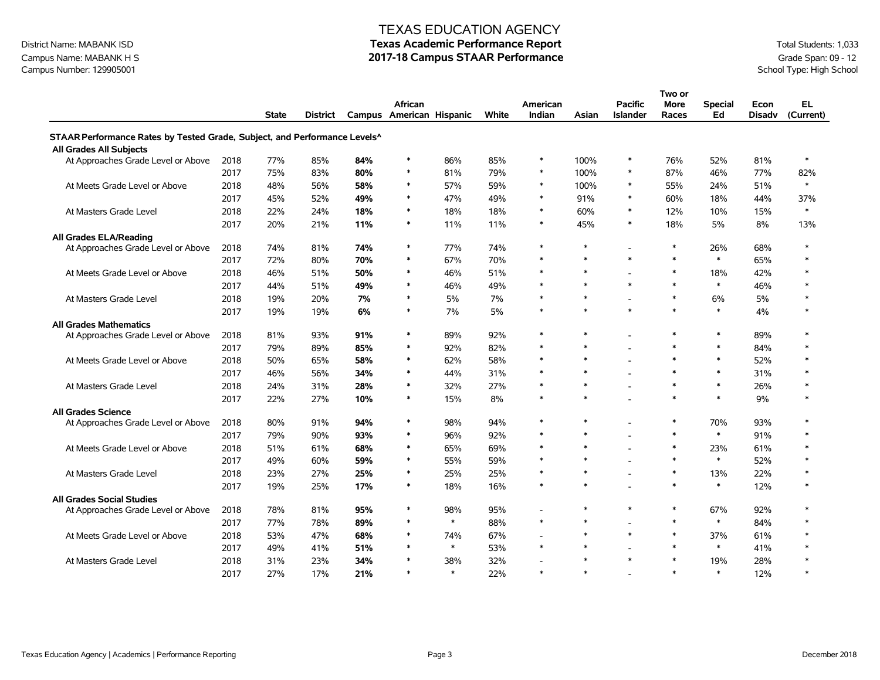### Campus Name: MABANK H S<br>Campus Number: 129905001<br>School Type: High School Campus Number: 129905001

#### TEXAS EDUCATION AGENCY

# District Name: MABANK ISD **Texas Academic Performance Report Texas Academic Performance Report** Total Students: 1,033

|                                                                           |      |              |                 |     |                                     |        |       |                           |        |                                   | Two or               |                      |                       |                        |
|---------------------------------------------------------------------------|------|--------------|-----------------|-----|-------------------------------------|--------|-------|---------------------------|--------|-----------------------------------|----------------------|----------------------|-----------------------|------------------------|
|                                                                           |      | <b>State</b> | <b>District</b> |     | African<br>Campus American Hispanic |        | White | American<br><b>Indian</b> | Asian  | <b>Pacific</b><br><b>Islander</b> | <b>More</b><br>Races | <b>Special</b><br>Ed | Econ<br><b>Disadv</b> | <b>EL</b><br>(Current) |
| STAAR Performance Rates by Tested Grade, Subject, and Performance Levels^ |      |              |                 |     |                                     |        |       |                           |        |                                   |                      |                      |                       |                        |
| All Grades All Subjects                                                   |      |              |                 |     |                                     |        |       |                           |        |                                   |                      |                      |                       |                        |
| At Approaches Grade Level or Above                                        | 2018 | 77%          | 85%             | 84% | $\ast$                              | 86%    | 85%   | $\ast$                    | 100%   | $\ast$                            | 76%                  | 52%                  | 81%                   | $\ast$                 |
|                                                                           | 2017 | 75%          | 83%             | 80% | $\ast$                              | 81%    | 79%   | $\ast$                    | 100%   | $\ast$                            | 87%                  | 46%                  | 77%                   | 82%                    |
| At Meets Grade Level or Above                                             | 2018 | 48%          | 56%             | 58% | $\ast$                              | 57%    | 59%   | $\ast$                    | 100%   | $\ast$                            | 55%                  | 24%                  | 51%                   | $\ast$                 |
|                                                                           | 2017 | 45%          | 52%             | 49% | $\ast$                              | 47%    | 49%   | $\ast$                    | 91%    | $\ast$                            | 60%                  | 18%                  | 44%                   | 37%                    |
| At Masters Grade Level                                                    | 2018 | 22%          | 24%             | 18% | $\ast$                              | 18%    | 18%   | $\ast$                    | 60%    | $\ast$                            | 12%                  | 10%                  | 15%                   | $\ast$                 |
|                                                                           | 2017 | 20%          | 21%             | 11% | $\ast$                              | 11%    | 11%   | $\ast$                    | 45%    | $\ast$                            | 18%                  | 5%                   | 8%                    | 13%                    |
| All Grades ELA/Reading                                                    |      |              |                 |     |                                     |        |       |                           |        |                                   |                      |                      |                       |                        |
| At Approaches Grade Level or Above                                        | 2018 | 74%          | 81%             | 74% | $\ast$                              | 77%    | 74%   | $\ast$                    | $\ast$ |                                   | $\ast$               | 26%                  | 68%                   | $\ast$                 |
|                                                                           | 2017 | 72%          | 80%             | 70% | $\ast$                              | 67%    | 70%   | $\ast$                    | $\ast$ | $\ast$                            | $\ast$               | $\ast$               | 65%                   | $\ast$                 |
| At Meets Grade Level or Above                                             | 2018 | 46%          | 51%             | 50% | $\ast$                              | 46%    | 51%   | $\ast$                    | $\ast$ |                                   | $\ast$               | 18%                  | 42%                   | $\ast$                 |
|                                                                           | 2017 | 44%          | 51%             | 49% | $\ast$                              | 46%    | 49%   | $\ast$                    | $\ast$ | $\pmb{\ast}$                      | $\ast$               | $\ast$               | 46%                   | $\ast$                 |
| At Masters Grade Level                                                    | 2018 | 19%          | 20%             | 7%  | $\ast$                              | 5%     | 7%    | $\ast$                    | $\ast$ |                                   | $\ast$               | 6%                   | 5%                    | $\ast$                 |
|                                                                           | 2017 | 19%          | 19%             | 6%  | $\ast$                              | 7%     | 5%    | $\ast$                    | $\ast$ | $\ast$                            | $\ast$               | $\ast$               | 4%                    | $\ast$                 |
| <b>All Grades Mathematics</b>                                             |      |              |                 |     |                                     |        |       |                           |        |                                   |                      |                      |                       |                        |
| At Approaches Grade Level or Above                                        | 2018 | 81%          | 93%             | 91% | $\ast$                              | 89%    | 92%   | $\ast$                    | $\ast$ |                                   | $\ast$               | $\ast$               | 89%                   | $\ast$                 |
|                                                                           | 2017 | 79%          | 89%             | 85% | $\ast$                              | 92%    | 82%   | $\ast$                    | $\ast$ |                                   | $\ast$               | $\ast$               | 84%                   | $\ast$                 |
| At Meets Grade Level or Above                                             | 2018 | 50%          | 65%             | 58% | $\ast$                              | 62%    | 58%   | $\ast$                    | $\ast$ |                                   | $\ast$               | $\ast$               | 52%                   | $\ast$                 |
|                                                                           | 2017 | 46%          | 56%             | 34% | $\ast$                              | 44%    | 31%   | $\ast$                    | $\ast$ |                                   | $\ast$               | $\ast$               | 31%                   | $\ast$                 |
| At Masters Grade Level                                                    | 2018 | 24%          | 31%             | 28% | $\ast$                              | 32%    | 27%   | $\ast$                    | $\ast$ |                                   | $\ast$               | $\ast$               | 26%                   | $\ast$                 |
|                                                                           | 2017 | 22%          | 27%             | 10% | $\ast$                              | 15%    | 8%    | $\ast$                    | $\ast$ |                                   | $\ast$               | $\ast$               | 9%                    | $\ast$                 |
| <b>All Grades Science</b>                                                 |      |              |                 |     |                                     |        |       |                           |        |                                   |                      |                      |                       |                        |
| At Approaches Grade Level or Above                                        | 2018 | 80%          | 91%             | 94% | $\ast$                              | 98%    | 94%   | $\ast$                    | $\ast$ |                                   | $\ast$               | 70%                  | 93%                   | $\ast$                 |
|                                                                           | 2017 | 79%          | 90%             | 93% | $\ast$                              | 96%    | 92%   | $\ast$                    | $\ast$ |                                   | $\ast$               | $\ast$               | 91%                   | $\ast$                 |
| At Meets Grade Level or Above                                             | 2018 | 51%          | 61%             | 68% | $\ast$                              | 65%    | 69%   | $\ast$                    | $\ast$ |                                   | $\ast$               | 23%                  | 61%                   | $\ast$                 |
|                                                                           | 2017 | 49%          | 60%             | 59% | $\ast$                              | 55%    | 59%   | $\ast$                    | $\ast$ |                                   | $\ast$               | $\ast$               | 52%                   | $\ast$                 |
| At Masters Grade Level                                                    | 2018 | 23%          | 27%             | 25% | $\ast$                              | 25%    | 25%   | $\ast$                    | $\ast$ |                                   | $\ast$               | 13%                  | 22%                   | $\ast$                 |
|                                                                           | 2017 | 19%          | 25%             | 17% | $\ast$                              | 18%    | 16%   | $\ast$                    | $\ast$ |                                   | $\ast$               | $\ast$               | 12%                   | $\ast$                 |
| <b>All Grades Social Studies</b>                                          |      |              |                 |     |                                     |        |       |                           |        |                                   |                      |                      |                       |                        |
| At Approaches Grade Level or Above                                        | 2018 | 78%          | 81%             | 95% | $\ast$                              | 98%    | 95%   | $\overline{a}$            | $\ast$ | $\ast$                            | $\ast$               | 67%                  | 92%                   | $\ast$                 |
|                                                                           | 2017 | 77%          | 78%             | 89% | $\ast$                              | $\ast$ | 88%   | $\ast$                    | $\ast$ |                                   | $\ast$               | $\ast$               | 84%                   | $\ast$                 |
| At Meets Grade Level or Above                                             | 2018 | 53%          | 47%             | 68% | $\ast$                              | 74%    | 67%   | $\overline{a}$            | $\ast$ | $\ast$                            | $\ast$               | 37%                  | 61%                   | $\ast$                 |
|                                                                           | 2017 | 49%          | 41%             | 51% | $\ast$                              | $\ast$ | 53%   | $\ast$                    | $\ast$ |                                   | $\ast$               | $\ast$               | 41%                   | $\ast$                 |
| At Masters Grade Level                                                    | 2018 | 31%          | 23%             | 34% |                                     | 38%    | 32%   |                           | $\ast$ | $\ast$                            | $\ast$               | 19%                  | 28%                   | $\ast$                 |
|                                                                           | 2017 | 27%          | 17%             | 21% | $\ast$                              | $\ast$ | 22%   | $\ast$                    | $\ast$ |                                   | $\ast$               | $\ast$               | 12%                   | $\ast$                 |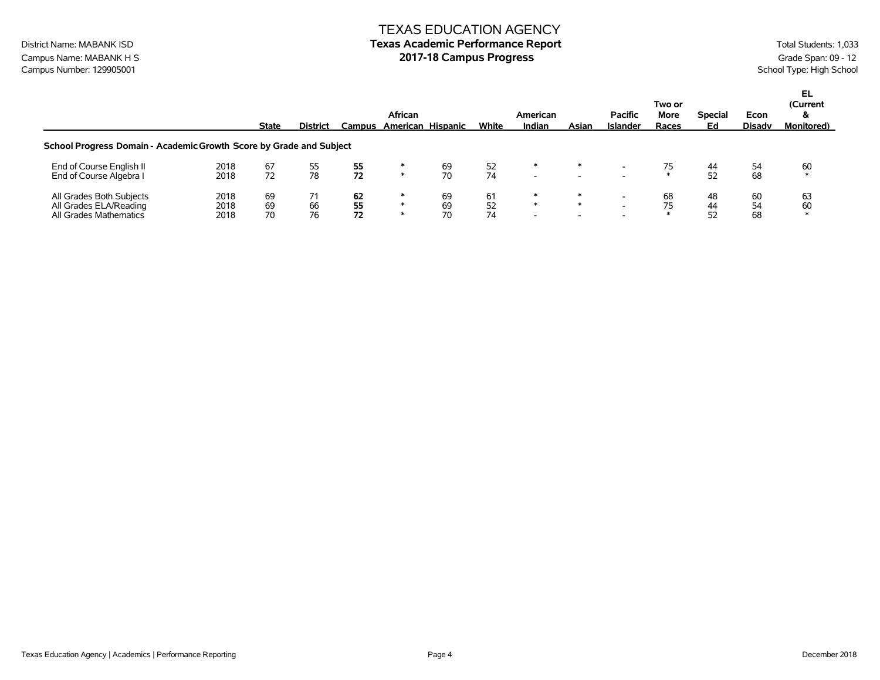#### TEXAS EDUCATION AGENCY District Name: MABANK ISD **Texas Academic Performance Report** Total Students: 1,033

Campus Name: MABANK H S

Campus Name: MABANK H S

Campus Number: 129905001

Campus Number: 129905001

Campus Number: 129905001

Campus Number: 129905001

Campus Number: 129905001

Campus Number: 129905001

Campus Number: 1 Campus Number: 129905001

|                                                                              |                      | <b>State</b>   | <b>District</b> | Campus         | <b>African</b> | American Hispanic | White          | American<br>Indian                      | Asian                         | <b>Pacific</b><br>Islander | Two or<br>More<br>Races | <b>Special</b><br>Ed | Econ<br><b>Disadv</b> | EL<br>(Current<br>&<br><b>Monitored</b> ) |
|------------------------------------------------------------------------------|----------------------|----------------|-----------------|----------------|----------------|-------------------|----------------|-----------------------------------------|-------------------------------|----------------------------|-------------------------|----------------------|-----------------------|-------------------------------------------|
| School Progress Domain - Academic Growth Score by Grade and Subject          |                      |                |                 |                |                |                   |                |                                         |                               |                            |                         |                      |                       |                                           |
| End of Course English II<br>End of Course Algebra I                          | 2018<br>2018         | 67<br>72       | 55<br>78        | 55<br>72       | ∗              | 69<br>70          | 52<br>74       | ∗<br>$\overline{\phantom{0}}$           | $\overline{\phantom{a}}$      |                            |                         | 44<br>52             | 54<br>68              | 60<br>$\ast$                              |
| All Grades Both Subjects<br>All Grades ELA/Reading<br>All Grades Mathematics | 2018<br>2018<br>2018 | 69<br>69<br>70 | 66<br>76        | 62<br>55<br>72 |                | 69<br>69<br>70    | 61<br>52<br>74 | ∗<br>$\ast$<br>$\overline{\phantom{0}}$ | ∗<br>$\overline{\phantom{a}}$ |                            | 68                      | 48<br>44<br>ヒつ       | 60<br>54<br>68        | 63<br>60                                  |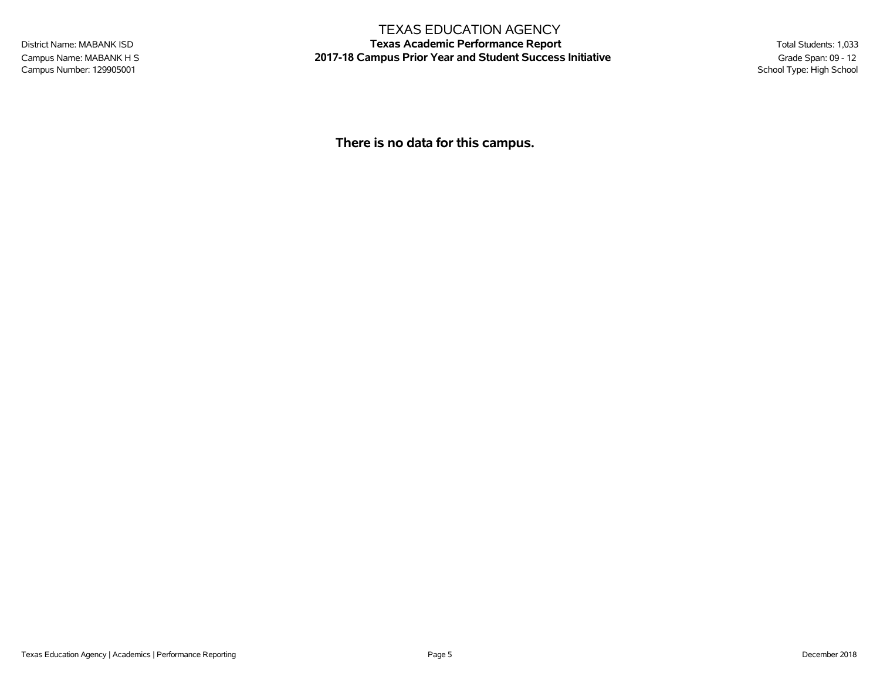Campus Number: 129905001

#### TEXAS EDUCATION AGENCY

District Name: MABANK ISD **Texas Academic Performance Report** Total Students: 1,033 Campus Name: MABANK H S **2017-18 Campus Prior Year and Student Success Initiative** Grade Span: 09 - 12<br>Campus Number: 129905001<br>School Type: High School

**There is no data for this campus.**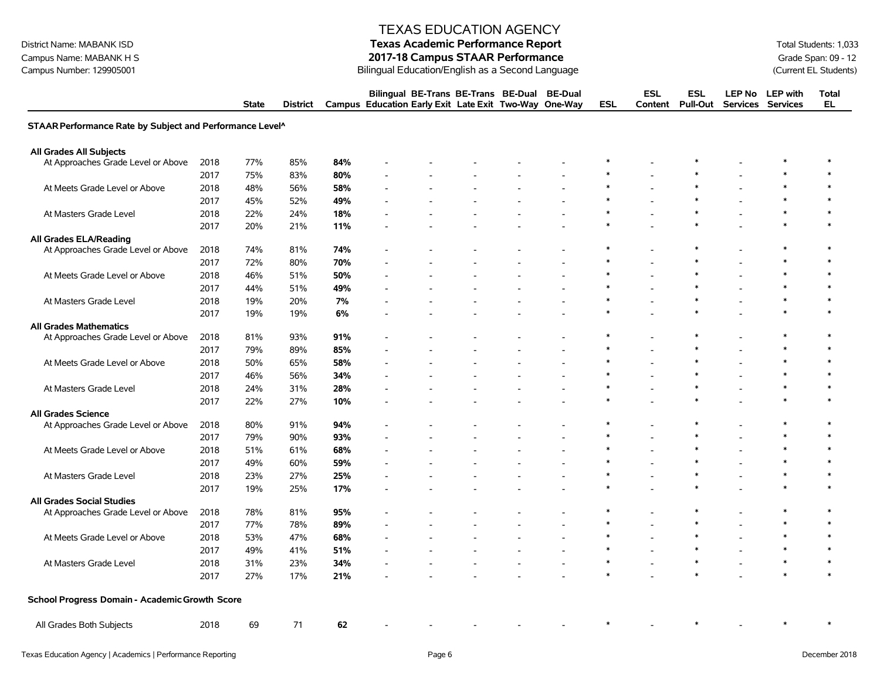## District Name: MABANK ISD **Texas Academic Performance Report Texas Academic Performance Report** Total Students: 1,033

Campus Name: MABANK H S<br>
Campus Number: 129905001 **2017-18 Campus STAAR Performance**<br>
Bilingual Education/English as a Second Language Campus Number: 129905001 (Current EL Students) Bilingual Education/English as a Second Language

|                                                          |      | <b>State</b> | <b>District</b> |     | Bilingual BE-Trans BE-Trans BE-Dual<br>Campus Education Early Exit Late Exit Two-Way One-Way |  | <b>BE-Dual</b> | <b>ESL</b> | <b>ESL</b><br>Content | <b>ESL</b><br><b>Pull-Out</b> | <b>LEP No</b>  | <b>LEP</b> with<br>Services Services | <b>Total</b><br><b>EL</b> |
|----------------------------------------------------------|------|--------------|-----------------|-----|----------------------------------------------------------------------------------------------|--|----------------|------------|-----------------------|-------------------------------|----------------|--------------------------------------|---------------------------|
| STAAR Performance Rate by Subject and Performance Level^ |      |              |                 |     |                                                                                              |  |                |            |                       |                               |                |                                      |                           |
| All Grades All Subjects                                  |      |              |                 |     |                                                                                              |  |                |            |                       |                               |                |                                      |                           |
| At Approaches Grade Level or Above                       | 2018 | 77%          | 85%             | 84% |                                                                                              |  |                |            |                       |                               |                |                                      | $\ast$                    |
|                                                          | 2017 | 75%          | 83%             | 80% |                                                                                              |  |                |            |                       |                               |                |                                      | $\ast$                    |
| At Meets Grade Level or Above                            | 2018 | 48%          | 56%             | 58% |                                                                                              |  |                | $\ast$     |                       | $\ast$                        |                | $\ast$                               | $\ast$                    |
|                                                          | 2017 | 45%          | 52%             | 49% |                                                                                              |  |                | ∗          |                       | $\ast$                        |                | $\ast$                               | $\ast$                    |
| At Masters Grade Level                                   | 2018 | 22%          | 24%             | 18% |                                                                                              |  |                | $\ast$     |                       | $\ast$                        |                | $\ast$                               | $\ast$                    |
|                                                          | 2017 | 20%          | 21%             | 11% |                                                                                              |  |                |            |                       | $\ast$                        |                | $\ast$                               | $\ast$                    |
| <b>All Grades ELA/Reading</b>                            |      |              |                 |     |                                                                                              |  |                |            |                       |                               |                |                                      |                           |
| At Approaches Grade Level or Above                       | 2018 | 74%          | 81%             | 74% |                                                                                              |  |                | ∗          | $\blacksquare$        | $\ast$                        | $\overline{a}$ | $\ast$                               | $\ast$                    |
|                                                          | 2017 | 72%          | 80%             | 70% |                                                                                              |  |                | $\ast$     |                       | $\ast$                        |                | $\ast$                               | $\ast$                    |
| At Meets Grade Level or Above                            | 2018 | 46%          | 51%             | 50% |                                                                                              |  |                | $\ast$     |                       | $\ast$                        |                | $\ast$                               | $\ast$                    |
|                                                          | 2017 | 44%          | 51%             | 49% |                                                                                              |  |                | $\ast$     |                       | $\ast$                        |                | $\ast$                               | $\ast$                    |
| At Masters Grade Level                                   | 2018 | 19%          | 20%             | 7%  |                                                                                              |  |                |            |                       | $\ast$                        |                | $\ast$                               | $\ast$                    |
|                                                          | 2017 | 19%          | 19%             | 6%  |                                                                                              |  |                |            |                       |                               |                | $\ast$                               | $\ast$                    |
| <b>All Grades Mathematics</b>                            |      |              |                 |     |                                                                                              |  |                |            |                       |                               |                |                                      |                           |
| At Approaches Grade Level or Above                       | 2018 | 81%          | 93%             | 91% |                                                                                              |  |                |            |                       |                               |                | $\ast$                               | $\ast$                    |
|                                                          | 2017 | 79%          | 89%             | 85% |                                                                                              |  |                | $\ast$     |                       | $\ast$                        |                | $\ast$                               | $\ast$                    |
| At Meets Grade Level or Above                            | 2018 | 50%          | 65%             | 58% |                                                                                              |  |                | ∗          |                       | $\ast$                        |                | $\ast$                               | $\ast$                    |
|                                                          | 2017 | 46%          | 56%             | 34% |                                                                                              |  |                | ∗          |                       | $\ast$                        |                | ∗                                    | $\ast$                    |
| At Masters Grade Level                                   | 2018 | 24%          | 31%             | 28% |                                                                                              |  |                | $\ast$     |                       | $\ast$                        |                | $\ast$                               | $\ast$                    |
|                                                          | 2017 | 22%          | 27%             | 10% |                                                                                              |  |                | ∗          |                       | $\ast$                        |                | $\ast$                               | $\ast$                    |
| <b>All Grades Science</b>                                |      |              |                 |     |                                                                                              |  |                |            |                       |                               |                |                                      |                           |
| At Approaches Grade Level or Above                       | 2018 | 80%          | 91%             | 94% |                                                                                              |  |                |            |                       | $\ast$                        |                | $\ast$                               | $\ast$                    |
|                                                          | 2017 | 79%          | 90%             | 93% |                                                                                              |  |                | $\ast$     |                       | $\ast$                        |                | $\ast$                               | $\ast$                    |
| At Meets Grade Level or Above                            | 2018 | 51%          | 61%             | 68% |                                                                                              |  |                | $\ast$     |                       | $\ast$                        |                | $\ast$                               | $\ast$                    |
|                                                          | 2017 | 49%          | 60%             | 59% |                                                                                              |  |                |            |                       |                               |                |                                      |                           |
| At Masters Grade Level                                   | 2018 | 23%          | 27%             | 25% |                                                                                              |  |                |            |                       | $\ast$                        |                | $\ast$                               | $\ast$                    |
|                                                          | 2017 | 19%          | 25%             | 17% |                                                                                              |  |                | $\ast$     |                       | $\ast$                        |                | $\ast$                               | $\ast$                    |
| <b>All Grades Social Studies</b>                         |      |              |                 |     |                                                                                              |  |                |            |                       |                               |                |                                      |                           |
| At Approaches Grade Level or Above                       | 2018 | 78%          | 81%             | 95% |                                                                                              |  |                | $\ast$     |                       | $\ast$                        |                | $\ast$                               | $\ast$                    |
|                                                          | 2017 | 77%          | 78%             | 89% |                                                                                              |  |                | $\ast$     |                       | $\ast$                        |                | $\ast$                               | $\ast$                    |
| At Meets Grade Level or Above                            | 2018 | 53%          | 47%             | 68% |                                                                                              |  |                | ∗          |                       | $\ast$                        | $\overline{a}$ | $\ast$                               | $\ast$                    |
|                                                          | 2017 | 49%          | 41%             | 51% |                                                                                              |  |                |            |                       | $\ast$                        |                | $\ast$                               | $\ast$                    |
| At Masters Grade Level                                   | 2018 | 31%          | 23%             | 34% |                                                                                              |  |                | $\ast$     |                       | $\ast$                        |                | $\ast$                               | $\ast$                    |
|                                                          | 2017 | 27%          | 17%             | 21% |                                                                                              |  |                | $\ast$     |                       | $\ast$                        |                | $\ast$                               | $\ast$                    |
| School Progress Domain - Academic Growth Score           |      |              |                 |     |                                                                                              |  |                |            |                       |                               |                |                                      |                           |
|                                                          |      |              |                 |     |                                                                                              |  |                |            |                       |                               |                |                                      |                           |
| All Grades Both Subjects                                 | 2018 | 69           | 71              | 62  |                                                                                              |  |                |            |                       |                               |                |                                      | $\ast$                    |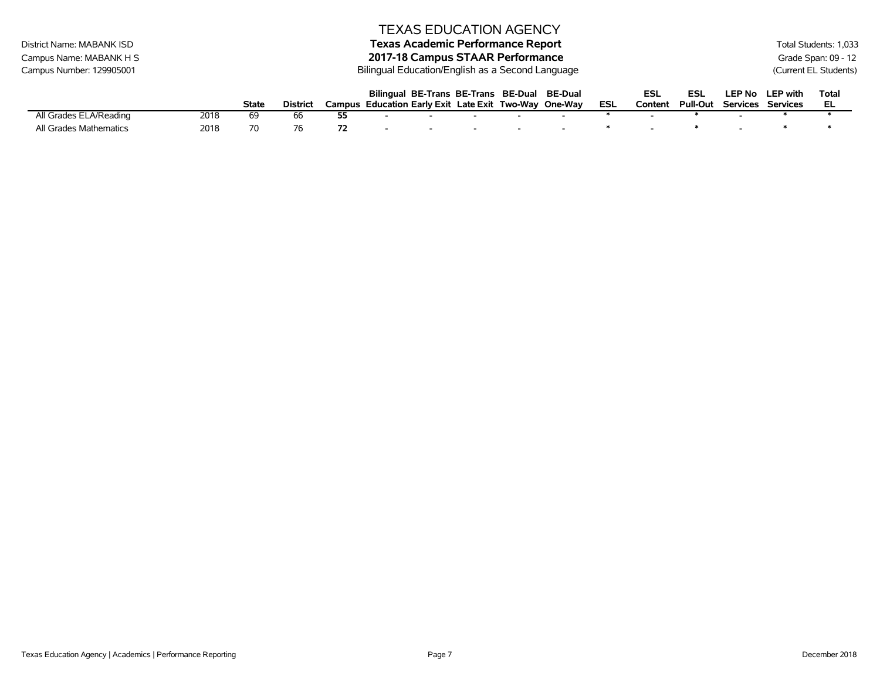|                           |      |              |                 |    |                          | <b>TEXAS EDUCATION AGENCY</b>                         |                          |                          |                          |     |         |                 |               |                   |                       |
|---------------------------|------|--------------|-----------------|----|--------------------------|-------------------------------------------------------|--------------------------|--------------------------|--------------------------|-----|---------|-----------------|---------------|-------------------|-----------------------|
| District Name: MABANK ISD |      |              |                 |    |                          | <b>Texas Academic Performance Report</b>              |                          |                          |                          |     |         |                 |               |                   | Total Students: 1,033 |
| Campus Name: MABANK H S   |      |              |                 |    |                          | 2017-18 Campus STAAR Performance                      |                          |                          |                          |     |         |                 |               |                   | Grade Span: 09 - 12   |
| Campus Number: 129905001  |      |              |                 |    |                          | Bilingual Education/English as a Second Language      |                          |                          |                          |     |         |                 |               |                   | (Current EL Students) |
|                           |      |              |                 |    |                          | Bilingual BE-Trans BE-Trans BE-Dual                   |                          |                          | <b>BE-Dual</b>           |     | ESL     | ESL             | <b>LEP No</b> | <b>LEP</b> with   | <b>Total</b>          |
|                           |      | <b>State</b> | <b>District</b> |    |                          | Campus Education Early Exit Late Exit Two-Way One-Way |                          |                          |                          | ESL | Content | <b>Pull-Out</b> |               | Services Services | EL                    |
| All Grades ELA/Reading    | 2018 | -69          | 66              | 55 | $\overline{\phantom{0}}$ |                                                       |                          |                          | $\overline{\phantom{0}}$ |     |         |                 |               |                   |                       |
| All Grades Mathematics    | 2018 | 70           | 76              | 72 | $\overline{\phantom{a}}$ | $\overline{\phantom{0}}$                              | $\overline{\phantom{0}}$ | $\overline{\phantom{0}}$ |                          | ∗   |         |                 |               |                   |                       |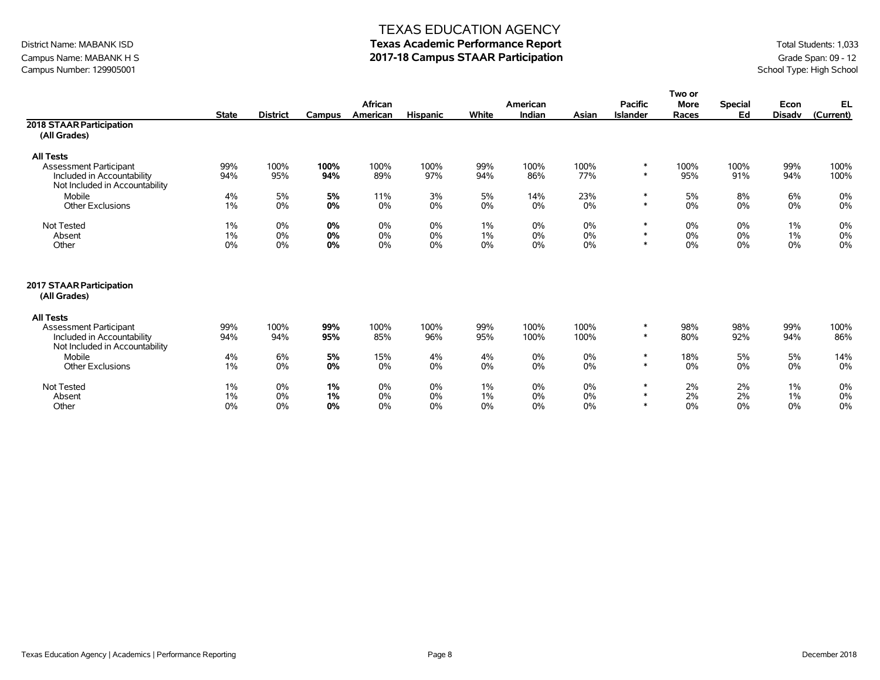### Campus Name: MABANK H S **2017-18 Campus STAAR Participation**<br>Campus Number: 129905001<br>School Type: High School Campus Number: 129905001

#### TEXAS EDUCATION AGENCY

# District Name: MABANK ISD **Texas Academic Performance Report Texas Academic Performance Report** Total Students: 1,033

|                                          |                |                 |          |                |                 |             |          |          |                 | Two or      |                |               |           |
|------------------------------------------|----------------|-----------------|----------|----------------|-----------------|-------------|----------|----------|-----------------|-------------|----------------|---------------|-----------|
|                                          |                |                 |          | <b>African</b> |                 |             | American |          | <b>Pacific</b>  | <b>More</b> | <b>Special</b> | Econ          | <b>EL</b> |
|                                          | <b>State</b>   | <b>District</b> | Campus   | American       | <b>Hispanic</b> | White       | Indian   | Asian    | <b>Islander</b> | Races       | Ed             | <b>Disadv</b> | (Current) |
| 2018 STAAR Participation                 |                |                 |          |                |                 |             |          |          |                 |             |                |               |           |
| (All Grades)                             |                |                 |          |                |                 |             |          |          |                 |             |                |               |           |
| <b>All Tests</b>                         |                |                 |          |                |                 |             |          |          |                 |             |                |               |           |
| <b>Assessment Participant</b>            | 99%            | 100%            | 100%     | 100%           | 100%            | 99%         | 100%     | 100%     | $\ast$          | 100%        | 100%           | 99%           | 100%      |
| Included in Accountability               | 94%            | 95%             | 94%      | 89%            | 97%             | 94%         | 86%      | 77%      | $\ast$          | 95%         | 91%            | 94%           | 100%      |
| Not Included in Accountability           |                |                 |          |                |                 |             |          |          |                 |             |                |               |           |
| Mobile                                   | 4%             | 5%              | 5%       | 11%            | 3%              | 5%          | 14%      | 23%      | $\ast$          | 5%          | 8%             | 6%            | 0%        |
| <b>Other Exclusions</b>                  | 1%             | 0%              | 0%       | 0%             | 0%              | $0\%$       | 0%       | 0%       | $\ast$          | 0%          | 0%             | 0%            | 0%        |
|                                          |                |                 |          |                | 0%              |             |          |          | $\ast$          |             |                |               |           |
| <b>Not Tested</b><br>Absent              | $1\%$<br>$1\%$ | 0%<br>0%        | 0%<br>0% | 0%<br>0%       | 0%              | $1\%$<br>1% | 0%<br>0% | 0%<br>0% | $\ast$          | 0%<br>0%    | 0%<br>0%       | 1%<br>1%      | 0%<br>0%  |
| Other                                    | 0%             | 0%              | 0%       | 0%             | 0%              | $0\%$       | 0%       | 0%       | $\star$         | 0%          | 0%             | 0%            | 0%        |
|                                          |                |                 |          |                |                 |             |          |          |                 |             |                |               |           |
| 2017 STAAR Participation<br>(All Grades) |                |                 |          |                |                 |             |          |          |                 |             |                |               |           |
| <b>All Tests</b>                         |                |                 |          |                |                 |             |          |          |                 |             |                |               |           |
| <b>Assessment Participant</b>            | 99%            | 100%            | 99%      | 100%           | 100%            | 99%         | 100%     | 100%     | $\ast$          | 98%         | 98%            | 99%           | 100%      |
| Included in Accountability               | 94%            | 94%             | 95%      | 85%            | 96%             | 95%         | 100%     | 100%     |                 | 80%         | 92%            | 94%           | 86%       |
| Not Included in Accountability           |                |                 |          |                |                 |             |          |          |                 |             |                |               |           |
| Mobile                                   | 4%             | 6%              | 5%       | 15%            | 4%              | 4%          | 0%       | 0%       | $\ast$          | 18%         | 5%             | 5%            | 14%       |
| <b>Other Exclusions</b>                  | 1%             | 0%              | 0%       | 0%             | 0%              | $0\%$       | 0%       | 0%       | $\ast$          | 0%          | $0\%$          | 0%            | 0%        |
| Not Tested                               | 1%             | 0%              | 1%       | 0%             | 0%              | $1\%$       | 0%       | 0%       | $\ast$          | 2%          | 2%             | 1%            | 0%        |
| Absent                                   | 1%             | 0%              | 1%       | 0%             | 0%              | 1%          | 0%       | 0%       | $\ast$          | 2%          | 2%             | 1%            | 0%        |
| Other                                    | 0%             | 0%              | 0%       | 0%             | 0%              | $0\%$       | 0%       | 0%       | $\ast$          | 0%          | 0%             | 0%            | 0%        |
|                                          |                |                 |          |                |                 |             |          |          |                 |             |                |               |           |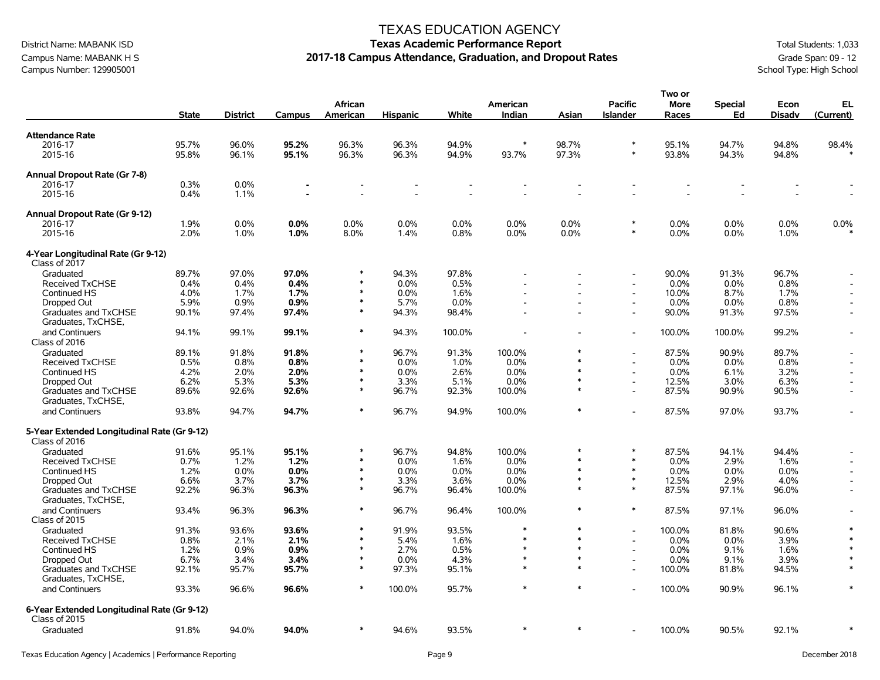Campus Name: MABANK H S **2017-18 Campus Attendance, Graduation, and Dropout Rates** Graduation, and Dropout Rates Campus Number: 129905001<br>School Type: High School Campus Number: 129905001

#### TEXAS EDUCATION AGENCY

### District Name: MABANK ISD **Texas Academic Performance Report** Total Students: 1,033

**Two or**

|                                                              |              |                 |        |                            |                 |        |                    |         |                                   | וט שעו               |                      |                |                          |
|--------------------------------------------------------------|--------------|-----------------|--------|----------------------------|-----------------|--------|--------------------|---------|-----------------------------------|----------------------|----------------------|----------------|--------------------------|
|                                                              | <b>State</b> | <b>District</b> | Campus | <b>African</b><br>American | <b>Hispanic</b> | White  | American<br>Indian | Asian   | <b>Pacific</b><br><b>Islander</b> | <b>More</b><br>Races | <b>Special</b><br>Ed | Econ<br>Disadv | EL<br>(Current)          |
| <b>Attendance Rate</b>                                       |              |                 |        |                            |                 |        |                    |         |                                   |                      |                      |                |                          |
| 2016-17                                                      | 95.7%        | 96.0%           | 95.2%  | 96.3%                      | 96.3%           | 94.9%  | $\ast$             | 98.7%   | $\ast$                            | 95.1%                | 94.7%                | 94.8%          | 98.4%                    |
| 2015-16                                                      | 95.8%        | 96.1%           | 95.1%  | 96.3%                      | 96.3%           | 94.9%  | 93.7%              | 97.3%   | $\ast$                            | 93.8%                | 94.3%                | 94.8%          |                          |
| Annual Dropout Rate (Gr 7-8)                                 |              |                 |        |                            |                 |        |                    |         |                                   |                      |                      |                |                          |
| 2016-17                                                      | 0.3%         | 0.0%            |        |                            |                 |        |                    |         |                                   |                      |                      |                |                          |
| 2015-16                                                      | 0.4%         | 1.1%            |        |                            |                 |        |                    |         |                                   |                      |                      |                |                          |
| Annual Dropout Rate (Gr 9-12)                                |              |                 |        |                            |                 |        |                    |         |                                   |                      |                      |                |                          |
| 2016-17                                                      | 1.9%         | 0.0%            | 0.0%   | 0.0%                       | 0.0%            | 0.0%   | 0.0%               | 0.0%    | $\ast$                            | 0.0%                 | 0.0%                 | 0.0%           | 0.0%                     |
| 2015-16                                                      | 2.0%         | 1.0%            | 1.0%   | 8.0%                       | 1.4%            | 0.8%   | 0.0%               | $0.0\%$ | $\ast$                            | 0.0%                 | 0.0%                 | 1.0%           |                          |
| 4-Year Longitudinal Rate (Gr 9-12)<br>Class of 2017          |              |                 |        |                            |                 |        |                    |         |                                   |                      |                      |                |                          |
| Graduated                                                    | 89.7%        | 97.0%           | 97.0%  |                            | 94.3%           | 97.8%  |                    |         |                                   | 90.0%                | 91.3%                | 96.7%          |                          |
| <b>Received TxCHSE</b>                                       | 0.4%         | 0.4%            | 0.4%   |                            | 0.0%            | 0.5%   |                    |         | $\overline{\phantom{a}}$          | 0.0%                 | 0.0%                 | 0.8%           |                          |
| Continued HS                                                 | 4.0%         | 1.7%            | 1.7%   | $\ast$                     | 0.0%            | 1.6%   |                    |         |                                   | 10.0%                | 8.7%                 | 1.7%           |                          |
| Dropped Out                                                  | 5.9%         | 0.9%            | 0.9%   | $\ast$                     | 5.7%            | 0.0%   |                    |         | $\overline{\phantom{a}}$          | 0.0%                 | 0.0%                 | 0.8%           | $\overline{\phantom{a}}$ |
| Graduates and TxCHSE<br>Graduates, TxCHSE,                   | 90.1%        | 97.4%           | 97.4%  | $\ast$                     | 94.3%           | 98.4%  |                    |         | $\blacksquare$                    | 90.0%                | 91.3%                | 97.5%          |                          |
| and Continuers<br>Class of 2016                              | 94.1%        | 99.1%           | 99.1%  | $\ast$                     | 94.3%           | 100.0% |                    |         |                                   | 100.0%               | 100.0%               | 99.2%          |                          |
| Graduated                                                    | 89.1%        | 91.8%           | 91.8%  |                            | 96.7%           | 91.3%  | 100.0%             |         |                                   | 87.5%                | 90.9%                | 89.7%          |                          |
| <b>Received TxCHSE</b>                                       | 0.5%         | 0.8%            | 0.8%   | $\ast$                     | 0.0%            | 1.0%   | 0.0%               | $\ast$  |                                   | $0.0\%$              | 0.0%                 | 0.8%           |                          |
| Continued HS                                                 | 4.2%         | 2.0%            | 2.0%   | $\ast$                     | 0.0%            | 2.6%   | 0.0%               | $\ast$  | $\overline{\phantom{a}}$          | $0.0\%$              | 6.1%                 | 3.2%           |                          |
| Dropped Out                                                  | 6.2%         | 5.3%            | 5.3%   | $\ast$                     | 3.3%            | 5.1%   | 0.0%               |         | $\blacksquare$                    | 12.5%                | 3.0%                 | 6.3%           | $\blacksquare$           |
| Graduates and TxCHSE<br>Graduates, TxCHSE,                   | 89.6%        | 92.6%           | 92.6%  | $\ast$                     | 96.7%           | 92.3%  | 100.0%             |         |                                   | 87.5%                | 90.9%                | 90.5%          |                          |
| and Continuers                                               | 93.8%        | 94.7%           | 94.7%  | $\ast$                     | 96.7%           | 94.9%  | 100.0%             |         |                                   | 87.5%                | 97.0%                | 93.7%          |                          |
| 5-Year Extended Longitudinal Rate (Gr 9-12)<br>Class of 2016 |              |                 |        |                            |                 |        |                    |         |                                   |                      |                      |                |                          |
| Graduated                                                    | 91.6%        | 95.1%           | 95.1%  |                            | 96.7%           | 94.8%  | 100.0%             | $\ast$  | $\ast$                            | 87.5%                | 94.1%                | 94.4%          |                          |
| Received TxCHSE                                              | 0.7%         | 1.2%            | 1.2%   | $\ast$                     | 0.0%            | 1.6%   | 0.0%               | $\star$ | $\ast$                            | 0.0%                 | 2.9%                 | 1.6%           |                          |
| Continued HS                                                 | 1.2%         | 0.0%            | 0.0%   | $\ast$                     | 0.0%            | 0.0%   | 0.0%               | $\ast$  | $\ast$                            | 0.0%                 | 0.0%                 | 0.0%           | $\overline{\phantom{a}}$ |
| Dropped Out                                                  | 6.6%         | 3.7%            | 3.7%   | $\ast$                     | 3.3%            | 3.6%   | 0.0%               |         | $\ast$                            | 12.5%                | 2.9%                 | 4.0%           |                          |
| Graduates and TxCHSE<br>Graduates, TxCHSE,                   | 92.2%        | 96.3%           | 96.3%  | $\ast$                     | 96.7%           | 96.4%  | 100.0%             | $\ast$  | $\ast$                            | 87.5%                | 97.1%                | 96.0%          |                          |
| and Continuers<br>Class of 2015                              | 93.4%        | 96.3%           | 96.3%  | $\ast$                     | 96.7%           | 96.4%  | 100.0%             | $\ast$  | $\ast$                            | 87.5%                | 97.1%                | 96.0%          |                          |
| Graduated                                                    | 91.3%        | 93.6%           | 93.6%  | $\ast$                     | 91.9%           | 93.5%  | *                  |         | $\overline{a}$                    | 100.0%               | 81.8%                | 90.6%          |                          |
| <b>Received TxCHSE</b>                                       | 0.8%         | 2.1%            | 2.1%   |                            | 5.4%            | 1.6%   | $\ast$             |         |                                   | 0.0%                 | 0.0%                 | 3.9%           |                          |
| Continued HS                                                 | 1.2%         | 0.9%            | 0.9%   | $\ast$                     | 2.7%            | 0.5%   | $\ast$             | $\ast$  | $\overline{a}$                    | 0.0%                 | 9.1%                 | 1.6%           |                          |
| Dropped Out                                                  | 6.7%         | 3.4%            | 3.4%   | $\ast$                     | 0.0%            | 4.3%   | $\ast$             | $\star$ | $\overline{a}$                    | $0.0\%$              | 9.1%                 | 3.9%           | $\ast$                   |
| Graduates and TxCHSE<br>Graduates, TxCHSE,                   | 92.1%        | 95.7%           | 95.7%  | $\ast$                     | 97.3%           | 95.1%  | $\ast$             | $\star$ | $\overline{a}$                    | 100.0%               | 81.8%                | 94.5%          |                          |
| and Continuers                                               | 93.3%        | 96.6%           | 96.6%  | $\ast$                     | 100.0%          | 95.7%  | $\ast$             |         |                                   | 100.0%               | 90.9%                | 96.1%          | $\ast$                   |
| 6-Year Extended Longitudinal Rate (Gr 9-12)<br>Class of 2015 |              |                 |        |                            |                 |        |                    |         |                                   |                      |                      |                |                          |
| Graduated                                                    | 91.8%        | 94.0%           | 94.0%  |                            | 94.6%           | 93.5%  |                    |         |                                   | 100.0%               | 90.5%                | 92.1%          |                          |
|                                                              |              |                 |        |                            |                 |        |                    |         |                                   |                      |                      |                |                          |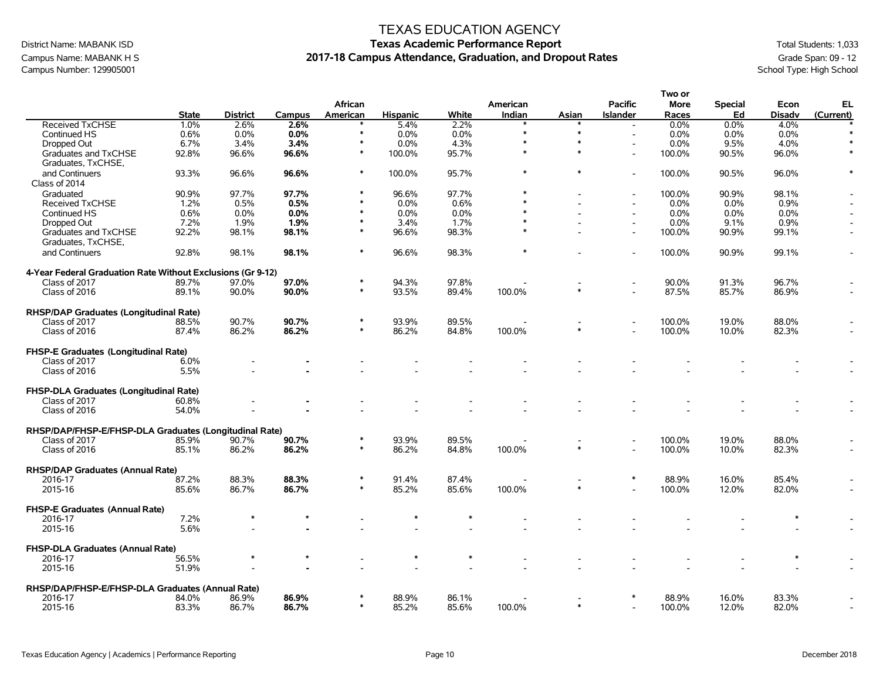### Campus Name: MABANK H S **2017-18 Campus Attendance, Graduation, and Dropout Rates** Graduation, and Dropout Rates Campus Number: 129905001<br>School Type: High School Campus Number: 129905001

#### TEXAS EDUCATION AGENCY

# District Name: MABANK ISD **Texas Academic Performance Report** Total Students: 1,033

**Two or**

|                                                             |              |                 |        |          |                 |       |          |        |                          | i wu ui |                |         |           |
|-------------------------------------------------------------|--------------|-----------------|--------|----------|-----------------|-------|----------|--------|--------------------------|---------|----------------|---------|-----------|
|                                                             |              |                 |        | African  |                 |       | American |        | <b>Pacific</b>           | More    | <b>Special</b> | Econ    | EL        |
|                                                             | <b>State</b> | <b>District</b> | Campus | American | <b>Hispanic</b> | White | Indian   | Asian  | <b>Islander</b>          | Races   | Ed             | Disadv  | (Current) |
| Received TxCHSE                                             | 1.0%         | 2.6%            | 2.6%   |          | 5.4%            | 2.2%  |          |        |                          | 0.0%    | 0.0%           | 4.0%    |           |
| Continued HS                                                | 0.6%         | $0.0\%$         | 0.0%   | $\ast$   | 0.0%            | 0.0%  | $\ast$   | $\ast$ | $\overline{a}$           | $0.0\%$ | 0.0%           | $0.0\%$ |           |
|                                                             | 6.7%         | 3.4%            | 3.4%   |          | 0.0%            | 4.3%  | $\ast$   |        |                          | 0.0%    |                |         |           |
| Dropped Out                                                 |              |                 |        | $\ast$   |                 |       | $\ast$   | $\ast$ |                          |         | 9.5%           | 4.0%    | $\ast$    |
| Graduates and TxCHSE                                        | 92.8%        | 96.6%           | 96.6%  |          | 100.0%          | 95.7% |          |        | $\overline{\phantom{a}}$ | 100.0%  | 90.5%          | 96.0%   |           |
| Graduates, TxCHSE,                                          |              |                 |        |          |                 |       |          |        |                          |         |                |         |           |
| and Continuers                                              | 93.3%        | 96.6%           | 96.6%  | $\ast$   | 100.0%          | 95.7% |          |        |                          | 100.0%  | 90.5%          | 96.0%   | $\ast$    |
| Class of 2014                                               |              |                 |        |          |                 |       |          |        |                          |         |                |         |           |
| Graduated                                                   | 90.9%        | 97.7%           | 97.7%  |          | 96.6%           | 97.7% |          |        | $\overline{\phantom{a}}$ | 100.0%  | 90.9%          | 98.1%   |           |
| <b>Received TxCHSE</b>                                      | 1.2%         | 0.5%            | 0.5%   |          | 0.0%            | 0.6%  |          |        |                          | $0.0\%$ | $0.0\%$        | 0.9%    |           |
| Continued HS                                                | 0.6%         | 0.0%            | 0.0%   |          | 0.0%            | 0.0%  |          |        |                          | 0.0%    | 0.0%           | 0.0%    |           |
| Dropped Out                                                 | 7.2%         | 1.9%            | 1.9%   | $\ast$   | 3.4%            | 1.7%  | $\ast$   |        | $\overline{\phantom{a}}$ | 0.0%    | 9.1%           | 0.9%    |           |
| Graduates and TxCHSE                                        | 92.2%        | 98.1%           | 98.1%  | $\ast$   | 96.6%           | 98.3% |          |        |                          | 100.0%  | 90.9%          | 99.1%   |           |
|                                                             |              |                 |        |          |                 |       |          |        |                          |         |                |         |           |
| Graduates, TxCHSE,                                          |              |                 |        | $\ast$   |                 |       | $\ast$   |        |                          |         |                |         |           |
| and Continuers                                              | 92.8%        | 98.1%           | 98.1%  |          | 96.6%           | 98.3% |          |        |                          | 100.0%  | 90.9%          | 99.1%   |           |
| 4-Year Federal Graduation Rate Without Exclusions (Gr 9-12) |              |                 |        |          |                 |       |          |        |                          |         |                |         |           |
| Class of 2017                                               | 89.7%        | 97.0%           | 97.0%  |          | 94.3%           | 97.8% |          |        |                          | 90.0%   | 91.3%          | 96.7%   |           |
| Class of 2016                                               | 89.1%        | 90.0%           | 90.0%  | $\ast$   | 93.5%           | 89.4% | 100.0%   |        | $\overline{a}$           | 87.5%   | 85.7%          | 86.9%   |           |
|                                                             |              |                 |        |          |                 |       |          |        |                          |         |                |         |           |
| RHSP/DAP Graduates (Longitudinal Rate)                      |              |                 |        |          |                 |       |          |        |                          |         |                |         |           |
| Class of 2017                                               | 88.5%        | 90.7%           | 90.7%  |          | 93.9%           | 89.5% |          |        |                          | 100.0%  | 19.0%          | 88.0%   |           |
| Class of 2016                                               | 87.4%        | 86.2%           | 86.2%  | $\ast$   | 86.2%           | 84.8% | 100.0%   |        |                          | 100.0%  | 10.0%          | 82.3%   |           |
|                                                             |              |                 |        |          |                 |       |          |        |                          |         |                |         |           |
| FHSP-E Graduates (Longitudinal Rate)                        |              |                 |        |          |                 |       |          |        |                          |         |                |         |           |
| Class of 2017                                               | 6.0%         |                 |        |          |                 |       |          |        |                          |         |                |         |           |
| Class of 2016                                               | 5.5%         |                 |        |          |                 |       |          |        |                          |         |                |         |           |
|                                                             |              |                 |        |          |                 |       |          |        |                          |         |                |         |           |
| <b>FHSP-DLA Graduates (Longitudinal Rate)</b>               |              |                 |        |          |                 |       |          |        |                          |         |                |         |           |
| Class of 2017                                               | 60.8%        |                 |        |          |                 |       |          |        |                          |         |                |         |           |
| Class of 2016                                               | 54.0%        |                 |        |          |                 |       |          |        |                          |         |                |         |           |
| RHSP/DAP/FHSP-E/FHSP-DLA Graduates (Longitudinal Rate)      |              |                 |        |          |                 |       |          |        |                          |         |                |         |           |
| Class of 2017                                               | 85.9%        | 90.7%           | 90.7%  |          | 93.9%           | 89.5% |          |        |                          | 100.0%  | 19.0%          | 88.0%   |           |
| Class of 2016                                               | 85.1%        | 86.2%           | 86.2%  | $\ast$   | 86.2%           | 84.8% | 100.0%   |        |                          | 100.0%  | 10.0%          | 82.3%   |           |
|                                                             |              |                 |        |          |                 |       |          |        |                          |         |                |         |           |
| RHSP/DAP Graduates (Annual Rate)                            |              |                 |        |          |                 |       |          |        |                          |         |                |         |           |
| 2016-17                                                     | 87.2%        | 88.3%           | 88.3%  |          | 91.4%           | 87.4% |          |        | $\ast$                   | 88.9%   | 16.0%          | 85.4%   |           |
| 2015-16                                                     | 85.6%        | 86.7%           | 86.7%  | $\ast$   | 85.2%           | 85.6% | 100.0%   |        |                          | 100.0%  | 12.0%          | 82.0%   |           |
|                                                             |              |                 |        |          |                 |       |          |        |                          |         |                |         |           |
| <b>FHSP-E Graduates (Annual Rate)</b>                       |              |                 |        |          |                 |       |          |        |                          |         |                |         |           |
| 2016-17                                                     | 7.2%         |                 |        |          |                 |       |          |        |                          |         |                |         |           |
| 2015-16                                                     | 5.6%         |                 |        |          |                 |       |          |        |                          |         |                |         |           |
| <b>FHSP-DLA Graduates (Annual Rate)</b>                     |              |                 |        |          |                 |       |          |        |                          |         |                |         |           |
| 2016-17                                                     | 56.5%        |                 |        |          |                 |       |          |        |                          |         |                |         |           |
|                                                             |              |                 |        |          |                 |       |          |        |                          |         |                |         |           |
| 2015-16                                                     | 51.9%        |                 |        |          |                 |       |          |        |                          |         |                |         |           |
| RHSP/DAP/FHSP-E/FHSP-DLA Graduates (Annual Rate)            |              |                 |        |          |                 |       |          |        |                          |         |                |         |           |
| 2016-17                                                     | 84.0%        | 86.9%           | 86.9%  |          | 88.9%           | 86.1% |          |        |                          | 88.9%   | 16.0%          | 83.3%   |           |
| 2015-16                                                     | 83.3%        | 86.7%           | 86.7%  | $\ast$   | 85.2%           | 85.6% | 100.0%   | $\ast$ |                          | 100.0%  | 12.0%          | 82.0%   |           |
|                                                             |              |                 |        |          |                 |       |          |        |                          |         |                |         |           |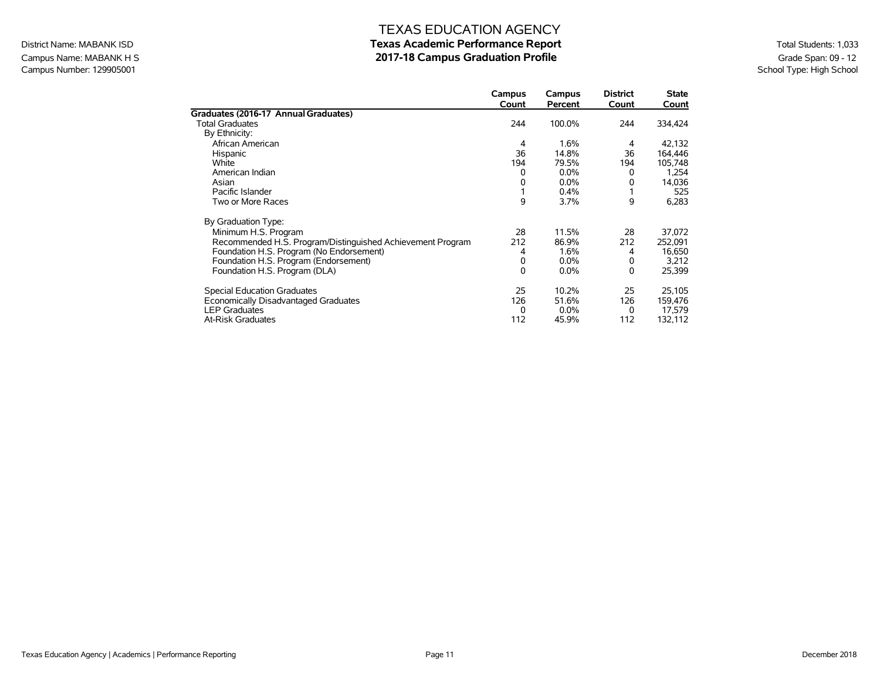### Campus Name: MABANK H S<br>Campus Number: 129905001<br>School Type: High School Campus Number: 129905001

### TEXAS EDUCATION AGENCY District Name: MABANK ISD **Texas Academic Performance Report Texas Academic Performance Report** Total Students: 1,033

|                                                            | Campus<br>Count | Campus<br>Percent | <b>District</b><br>Count | <b>State</b><br>Count |
|------------------------------------------------------------|-----------------|-------------------|--------------------------|-----------------------|
| Graduates (2016-17 Annual Graduates)                       |                 |                   |                          |                       |
| <b>Total Graduates</b>                                     | 244             | 100.0%            | 244                      | 334,424               |
| By Ethnicity:                                              |                 |                   |                          |                       |
| African American                                           | 4               | 1.6%              | 4                        | 42,132                |
| Hispanic                                                   | 36              | 14.8%             | 36                       | 164,446               |
| White                                                      | 194             | 79.5%             | 194                      | 105,748               |
| American Indian                                            | 0               | $0.0\%$           | 0                        | 1,254                 |
| Asian                                                      | 0               | $0.0\%$           | 0                        | 14,036                |
| Pacific Islander                                           |                 | 0.4%              |                          | 525                   |
| Two or More Races                                          | 9               | 3.7%              | 9                        | 6,283                 |
| By Graduation Type:                                        |                 |                   |                          |                       |
| Minimum H.S. Program                                       | 28              | 11.5%             | 28                       | 37,072                |
| Recommended H.S. Program/Distinguished Achievement Program | 212             | 86.9%             | 212                      | 252,091               |
| Foundation H.S. Program (No Endorsement)                   | 4               | 1.6%              | 4                        | 16,650                |
| Foundation H.S. Program (Endorsement)                      | 0               | $0.0\%$           | 0                        | 3,212                 |
| Foundation H.S. Program (DLA)                              | $\Omega$        | $0.0\%$           | 0                        | 25,399                |
| <b>Special Education Graduates</b>                         | 25              | 10.2%             | 25                       | 25,105                |
| Economically Disadvantaged Graduates                       | 126             | 51.6%             | 126                      | 159,476               |
| <b>LEP Graduates</b>                                       | 0               | $0.0\%$           | 0                        | 17,579                |
| <b>At-Risk Graduates</b>                                   | 112             | 45.9%             | 112                      | 132,112               |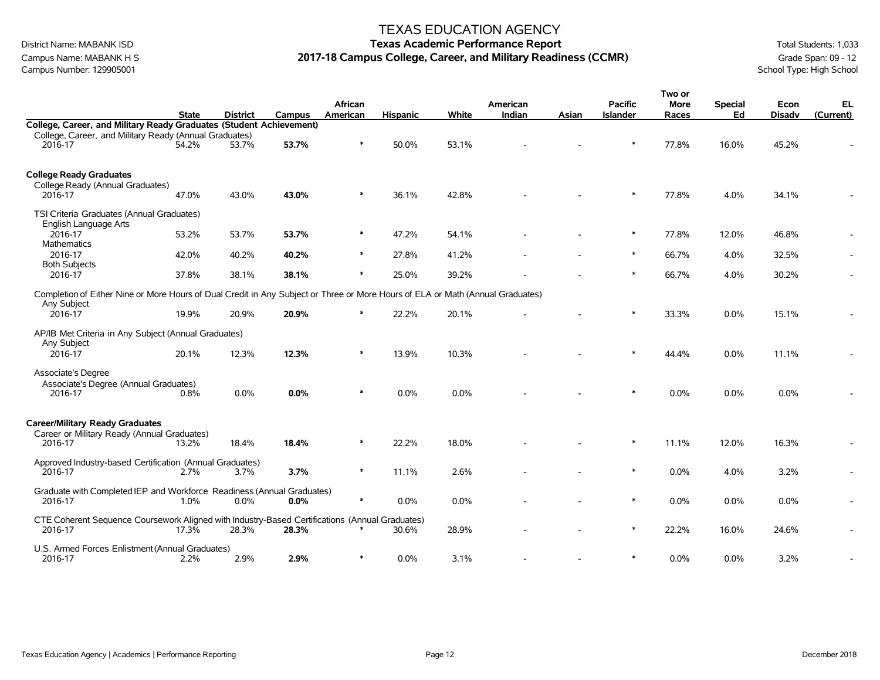Campus Name: MABANK H S **2017-18 Campus College, Career, and Military Readiness (CCMR)** Grade Span: 09 - 12<br>Campus Number: 129905001 School Type: High School Campus Number: 129905001

#### TEXAS EDUCATION AGENCY

### District Name: MABANK ISD **Texas Academic Performance Report Texas Academic Performance Report** Total Students: 1,033

|                                                                                                                                |              |                 |         | African  |                 |         | American |       | <b>Pacific</b>  | Two or<br><b>More</b> | <b>Special</b> | Econ          | EL,       |
|--------------------------------------------------------------------------------------------------------------------------------|--------------|-----------------|---------|----------|-----------------|---------|----------|-------|-----------------|-----------------------|----------------|---------------|-----------|
|                                                                                                                                | <b>State</b> | <b>District</b> | Campus  | American | <b>Hispanic</b> | White   | Indian   | Asian | <b>Islander</b> | Races                 | Ed             | <b>Disadv</b> | (Current) |
| College, Career, and Military Ready Graduates (Student Achievement)<br>College, Career, and Military Ready (Annual Graduates)  |              |                 |         |          |                 |         |          |       |                 |                       |                |               |           |
| 2016-17                                                                                                                        | 54.2%        | 53.7%           | 53.7%   | $\ast$   | 50.0%           | 53.1%   |          |       | $\ast$          | 77.8%                 | 16.0%          | 45.2%         |           |
|                                                                                                                                |              |                 |         |          |                 |         |          |       |                 |                       |                |               |           |
| <b>College Ready Graduates</b>                                                                                                 |              |                 |         |          |                 |         |          |       |                 |                       |                |               |           |
| College Ready (Annual Graduates)<br>2016-17                                                                                    | 47.0%        | 43.0%           | 43.0%   | $\ast$   | 36.1%           | 42.8%   |          |       | $\ast$          | 77.8%                 | 4.0%           | 34.1%         |           |
|                                                                                                                                |              |                 |         |          |                 |         |          |       |                 |                       |                |               |           |
| TSI Criteria Graduates (Annual Graduates)<br>English Language Arts                                                             |              |                 |         |          |                 |         |          |       |                 |                       |                |               |           |
| 2016-17                                                                                                                        | 53.2%        | 53.7%           | 53.7%   | $\ast$   | 47.2%           | 54.1%   |          |       | $\ast$          | 77.8%                 | 12.0%          | 46.8%         |           |
| Mathematics<br>2016-17                                                                                                         | 42.0%        | 40.2%           | 40.2%   | $\ast$   | 27.8%           | 41.2%   |          |       | $\ast$          | 66.7%                 | 4.0%           | 32.5%         |           |
| <b>Both Subjects</b>                                                                                                           |              |                 |         |          |                 |         |          |       |                 |                       |                |               |           |
| 2016-17                                                                                                                        | 37.8%        | 38.1%           | 38.1%   | $\ast$   | 25.0%           | 39.2%   |          |       | $\ast$          | 66.7%                 | 4.0%           | 30.2%         |           |
| Completion of Either Nine or More Hours of Dual Credit in Any Subject or Three or More Hours of ELA or Math (Annual Graduates) |              |                 |         |          |                 |         |          |       |                 |                       |                |               |           |
| Any Subject<br>2016-17                                                                                                         | 19.9%        | 20.9%           | 20.9%   | ∗        | 22.2%           | 20.1%   |          |       | $\ast$          | 33.3%                 | 0.0%           | 15.1%         |           |
|                                                                                                                                |              |                 |         |          |                 |         |          |       |                 |                       |                |               |           |
| AP/IB Met Criteria in Any Subject (Annual Graduates)<br>Any Subject                                                            |              |                 |         |          |                 |         |          |       |                 |                       |                |               |           |
| 2016-17                                                                                                                        | 20.1%        | 12.3%           | 12.3%   | ∗        | 13.9%           | 10.3%   |          |       | $\ast$          | 44.4%                 | 0.0%           | 11.1%         |           |
| Associate's Degree                                                                                                             |              |                 |         |          |                 |         |          |       |                 |                       |                |               |           |
| Associate's Degree (Annual Graduates)                                                                                          |              |                 |         | $\ast$   |                 |         |          |       | $\ast$          |                       |                |               |           |
| 2016-17                                                                                                                        | 0.8%         | 0.0%            | 0.0%    |          | 0.0%            | $0.0\%$ |          |       |                 | $0.0\%$               | 0.0%           | $0.0\%$       |           |
|                                                                                                                                |              |                 |         |          |                 |         |          |       |                 |                       |                |               |           |
| <b>Career/Military Ready Graduates</b><br>Career or Military Ready (Annual Graduates)                                          |              |                 |         |          |                 |         |          |       |                 |                       |                |               |           |
| 2016-17                                                                                                                        | 13.2%        | 18.4%           | 18.4%   | $\ast$   | 22.2%           | 18.0%   |          |       | $\ast$          | 11.1%                 | 12.0%          | 16.3%         |           |
|                                                                                                                                |              |                 |         |          |                 |         |          |       |                 |                       |                |               |           |
| Approved Industry-based Certification (Annual Graduates)<br>2016-17                                                            | 2.7%         | 3.7%            | 3.7%    | $\ast$   | 11.1%           | 2.6%    |          |       | $\ast$          | $0.0\%$               | 4.0%           | 3.2%          |           |
|                                                                                                                                |              |                 |         |          |                 |         |          |       |                 |                       |                |               |           |
| Graduate with Completed IEP and Workforce Readiness (Annual Graduates)                                                         |              |                 |         | $\ast$   |                 |         |          |       | $\ast$          |                       |                |               |           |
| 2016-17                                                                                                                        | 1.0%         | $0.0\%$         | $0.0\%$ |          | 0.0%            | 0.0%    |          |       |                 | 0.0%                  | 0.0%           | 0.0%          |           |
| CTE Coherent Sequence Coursework Aligned with Industry-Based Certifications (Annual Graduates)                                 |              |                 |         |          |                 |         |          |       |                 |                       |                |               |           |
| 2016-17                                                                                                                        | 17.3%        | 28.3%           | 28.3%   |          | 30.6%           | 28.9%   |          |       | $\ast$          | 22.2%                 | 16.0%          | 24.6%         |           |
| U.S. Armed Forces Enlistment (Annual Graduates)                                                                                |              |                 |         |          |                 |         |          |       |                 |                       |                |               |           |
| 2016-17                                                                                                                        | 2.2%         | 2.9%            | 2.9%    | $\ast$   | 0.0%            | 3.1%    |          |       | $\ast$          | $0.0\%$               | 0.0%           | 3.2%          |           |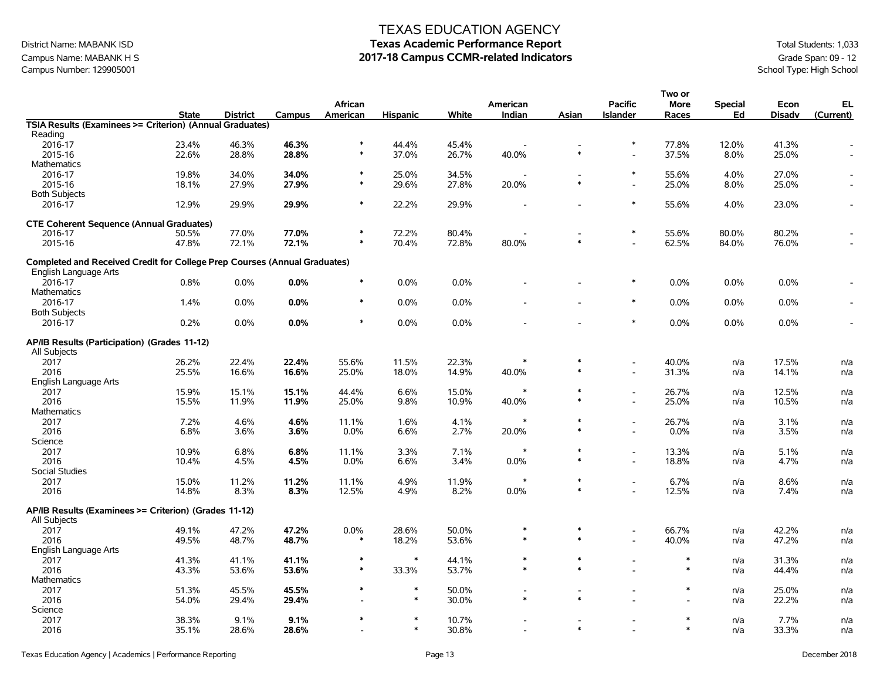### Campus Name: MABANK H S

Campus Name: MABANK H S

Campus Number: 129905001

Campus Number: 129905001

Campus Number: 129905001

Campus Number: 129905001

Campus Number: 129905001

Campus Number: 129905001

Campus Number: 1 Campus Number: 129905001

### TEXAS EDUCATION AGENCY

# District Name: MABANK ISD **Texas Academic Performance Report** Total Students: 1,033

|                                                                                  |              |                 |               |          |                 |         |          |        |                          | Two or  |                |               |                |
|----------------------------------------------------------------------------------|--------------|-----------------|---------------|----------|-----------------|---------|----------|--------|--------------------------|---------|----------------|---------------|----------------|
|                                                                                  |              |                 |               | African  |                 |         | American |        | <b>Pacific</b>           | More    | <b>Special</b> | Econ          | EL             |
|                                                                                  | <b>State</b> | <b>District</b> | <b>Campus</b> | American | <b>Hispanic</b> | White   | Indian   | Asian  | <b>Islander</b>          | Races   | Ed             | <b>Disadv</b> | (Current)      |
| TSIA Results (Examinees >= Criterion) (Annual Graduates)                         |              |                 |               |          |                 |         |          |        |                          |         |                |               |                |
| Reading                                                                          |              |                 |               |          |                 |         |          |        |                          |         |                |               |                |
| 2016-17                                                                          | 23.4%        | 46.3%           | 46.3%         | $\ast$   | 44.4%           | 45.4%   |          |        | $\ast$                   | 77.8%   | 12.0%          | 41.3%         |                |
| 2015-16                                                                          | 22.6%        | 28.8%           | 28.8%         | $\ast$   | 37.0%           | 26.7%   | 40.0%    | $\ast$ | $\blacksquare$           | 37.5%   | 8.0%           | 25.0%         |                |
| Mathematics                                                                      |              |                 |               |          |                 |         |          |        |                          |         |                |               |                |
| 2016-17                                                                          | 19.8%        | 34.0%           | 34.0%         | $\ast$   | 25.0%           | 34.5%   |          |        | $\ast$                   | 55.6%   | 4.0%           | 27.0%         |                |
| 2015-16                                                                          | 18.1%        | 27.9%           | 27.9%         | $\ast$   | 29.6%           | 27.8%   | 20.0%    | $\ast$ | $\overline{a}$           | 25.0%   | 8.0%           | 25.0%         |                |
| <b>Both Subjects</b>                                                             |              |                 |               |          |                 |         |          |        |                          |         |                |               |                |
| 2016-17                                                                          | 12.9%        | 29.9%           | 29.9%         | $\ast$   | 22.2%           | 29.9%   |          |        | $\ast$                   | 55.6%   | 4.0%           | 23.0%         |                |
| <b>CTE Coherent Sequence (Annual Graduates)</b>                                  |              |                 |               |          |                 |         |          |        |                          |         |                |               |                |
| 2016-17                                                                          | 50.5%        | 77.0%           | 77.0%         | $\ast$   | 72.2%           | 80.4%   |          |        | $\ast$                   | 55.6%   | 80.0%          | 80.2%         |                |
| 2015-16                                                                          | 47.8%        | 72.1%           | 72.1%         | $\ast$   | 70.4%           | 72.8%   | 80.0%    | $\ast$ | $\overline{a}$           | 62.5%   | 84.0%          | 76.0%         |                |
| <b>Completed and Received Credit for College Prep Courses (Annual Graduates)</b> |              |                 |               |          |                 |         |          |        |                          |         |                |               |                |
| <b>English Language Arts</b>                                                     |              |                 |               |          |                 |         |          |        |                          |         |                |               |                |
| 2016-17                                                                          | 0.8%         | $0.0\%$         | 0.0%          | $\ast$   | 0.0%            | $0.0\%$ |          |        | $\ast$                   | 0.0%    | 0.0%           | 0.0%          |                |
| Mathematics                                                                      |              |                 |               |          |                 |         |          |        |                          |         |                |               |                |
| 2016-17                                                                          | 1.4%         | $0.0\%$         | 0.0%          | $\ast$   | 0.0%            | $0.0\%$ |          |        | $\ast$                   | 0.0%    | 0.0%           | 0.0%          | $\overline{a}$ |
| <b>Both Subjects</b>                                                             |              |                 |               |          |                 |         |          |        |                          |         |                |               |                |
| 2016-17                                                                          | 0.2%         | $0.0\%$         | 0.0%          | $\ast$   | 0.0%            | $0.0\%$ |          |        | $\ast$                   | $0.0\%$ | 0.0%           | $0.0\%$       | $\blacksquare$ |
| AP/IB Results (Participation) (Grades 11-12)<br>All Subjects                     |              |                 |               |          |                 |         |          |        |                          |         |                |               |                |
| 2017                                                                             | 26.2%        | 22.4%           | 22.4%         | 55.6%    | 11.5%           | 22.3%   |          | $\ast$ | $\overline{\phantom{a}}$ | 40.0%   | n/a            | 17.5%         | n/a            |
| 2016                                                                             | 25.5%        | 16.6%           | 16.6%         | 25.0%    | 18.0%           | 14.9%   | 40.0%    | $\ast$ | $\overline{a}$           | 31.3%   | n/a            | 14.1%         | n/a            |
| English Language Arts                                                            |              |                 |               |          |                 |         |          |        |                          |         |                |               |                |
| 2017                                                                             | 15.9%        | 15.1%           | 15.1%         | 44.4%    | 6.6%            | 15.0%   | $\ast$   | $\ast$ | $\overline{\phantom{a}}$ | 26.7%   | n/a            | 12.5%         | n/a            |
| 2016                                                                             | 15.5%        | 11.9%           | 11.9%         | 25.0%    | 9.8%            | 10.9%   | 40.0%    | $\ast$ | $\overline{a}$           | 25.0%   | n/a            | 10.5%         | n/a            |
| <b>Mathematics</b>                                                               |              |                 |               |          |                 |         |          |        |                          |         |                |               |                |
| 2017                                                                             | 7.2%         | 4.6%            | 4.6%          | 11.1%    | 1.6%            | 4.1%    |          | $\ast$ | $\overline{\phantom{a}}$ | 26.7%   | n/a            | 3.1%          | n/a            |
| 2016                                                                             | 6.8%         | 3.6%            | 3.6%          | 0.0%     | 6.6%            | 2.7%    | 20.0%    | $\ast$ | $\overline{\phantom{a}}$ | 0.0%    | n/a            | 3.5%          | n/a            |
| Science                                                                          |              |                 |               |          |                 |         |          |        |                          |         |                |               |                |
| 2017                                                                             | 10.9%        | 6.8%            | 6.8%          | 11.1%    | 3.3%            | 7.1%    | $\ast$   | $\ast$ | $\blacksquare$           | 13.3%   | n/a            | 5.1%          | n/a            |
| 2016                                                                             | 10.4%        | 4.5%            | 4.5%          | $0.0\%$  | 6.6%            | 3.4%    | 0.0%     | $\ast$ | $\overline{\phantom{a}}$ | 18.8%   | n/a            | 4.7%          | n/a            |
| Social Studies                                                                   |              |                 |               |          |                 |         |          |        |                          |         |                |               |                |
| 2017                                                                             | 15.0%        | 11.2%           | 11.2%         | 11.1%    | 4.9%            | 11.9%   | *        | $\ast$ | $\blacksquare$           | 6.7%    | n/a            | 8.6%          | n/a            |
| 2016                                                                             | 14.8%        | 8.3%            | 8.3%          | 12.5%    | 4.9%            | 8.2%    | 0.0%     | $\ast$ | $\overline{a}$           | 12.5%   | n/a            | 7.4%          | n/a            |
| AP/IB Results (Examinees >= Criterion) (Grades 11-12)<br>All Subjects            |              |                 |               |          |                 |         |          |        |                          |         |                |               |                |
| 2017                                                                             | 49.1%        | 47.2%           | 47.2%         | 0.0%     | 28.6%           | 50.0%   | $\ast$   | $\ast$ | $\overline{\phantom{a}}$ | 66.7%   | n/a            | 42.2%         | n/a            |
| 2016                                                                             | 49.5%        | 48.7%           | 48.7%         |          | 18.2%           | 53.6%   | $\ast$   | $\ast$ |                          | 40.0%   | n/a            | 47.2%         | n/a            |
| English Language Arts                                                            |              |                 |               |          |                 |         |          |        |                          |         |                |               |                |
| 2017                                                                             | 41.3%        | 41.1%           | 41.1%         | $\ast$   | $\ast$          | 44.1%   | $\ast$   | $\ast$ | $\overline{\phantom{a}}$ | $\ast$  | n/a            | 31.3%         | n/a            |
| 2016                                                                             | 43.3%        | 53.6%           | 53.6%         | $\ast$   | 33.3%           | 53.7%   | $\ast$   | $\ast$ |                          | $\ast$  | n/a            | 44.4%         | n/a            |
| Mathematics                                                                      |              |                 |               |          |                 |         |          |        |                          |         |                |               |                |
| 2017                                                                             | 51.3%        | 45.5%           | 45.5%         | $\ast$   | $\ast$          | 50.0%   |          |        |                          | $\ast$  | n/a            | 25.0%         | n/a            |
| 2016                                                                             | 54.0%        | 29.4%           | 29.4%         |          | $\ast$          | 30.0%   | $\ast$   |        |                          |         | n/a            | 22.2%         | n/a            |
| Science                                                                          |              |                 |               |          |                 |         |          |        |                          |         |                |               |                |
| 2017                                                                             | 38.3%        | 9.1%            | 9.1%          | $\ast$   | $\ast$          | 10.7%   |          |        |                          | $\ast$  | n/a            | 7.7%          | n/a            |
| 2016                                                                             | 35.1%        | 28.6%           | 28.6%         |          | $\ast$          | 30.8%   |          | $\ast$ |                          | $\ast$  | n/a            | 33.3%         | n/a            |
|                                                                                  |              |                 |               |          |                 |         |          |        |                          |         |                |               |                |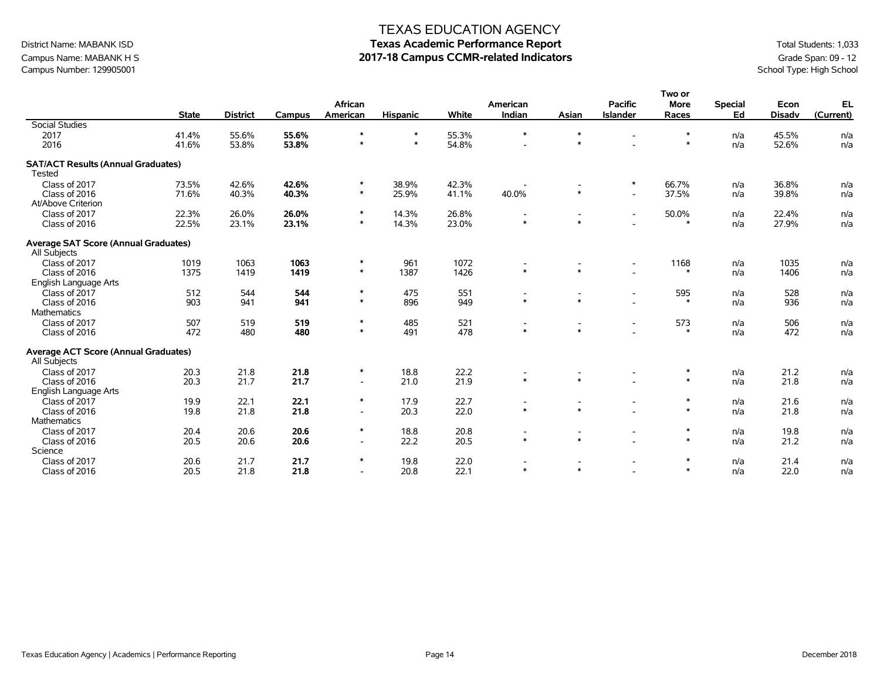# District Name: MABANK ISD **Texas Academic Performance Report** Total Students: 1,033

School Type: High School

| Campus Name: MABANK H S<br>Campus Number: 129905001 |                |                 |                |                     |                 |                | 2017-18 Campus CCMR-related Indicators |       |                                   |                                |                      |                       | Grade Span: 09 - 12<br>School Type: High Schoo |
|-----------------------------------------------------|----------------|-----------------|----------------|---------------------|-----------------|----------------|----------------------------------------|-------|-----------------------------------|--------------------------------|----------------------|-----------------------|------------------------------------------------|
|                                                     | <b>State</b>   | <b>District</b> | Campus         | African<br>American | <b>Hispanic</b> | White          | American<br>Indian                     | Asian | <b>Pacific</b><br><b>Islander</b> | Two or<br><b>More</b><br>Races | <b>Special</b><br>Ed | Econ<br><b>Disady</b> | EL<br>(Current)                                |
| Social Studies                                      |                |                 |                |                     |                 |                | ∗                                      |       |                                   |                                |                      |                       |                                                |
| 2017<br>2016                                        | 41.4%<br>41.6% | 55.6%<br>53.8%  | 55.6%<br>53.8% |                     |                 | 55.3%<br>54.8% | $\overline{\phantom{0}}$               |       |                                   |                                | n/a<br>n/a           | 45.5%<br>52.6%        | n/a<br>n/a                                     |

| Social Studies                              |       |       |       |                          |        |       |         |         |                          |        |     |       |     |
|---------------------------------------------|-------|-------|-------|--------------------------|--------|-------|---------|---------|--------------------------|--------|-----|-------|-----|
| 2017                                        | 41.4% | 55.6% | 55.6% | $\ast$                   | ∗      | 55.3% | *       |         |                          | ∗      | n/a | 45.5% | n/a |
| 2016                                        | 41.6% | 53.8% | 53.8% | $\ast$                   | $\ast$ | 54.8% |         | $\ast$  |                          | $\ast$ | n/a | 52.6% | n/a |
| <b>SAT/ACT Results (Annual Graduates)</b>   |       |       |       |                          |        |       |         |         |                          |        |     |       |     |
| <b>Tested</b>                               |       |       |       |                          |        |       |         |         |                          |        |     |       |     |
| Class of 2017                               | 73.5% | 42.6% | 42.6% | $\ast$                   | 38.9%  | 42.3% |         |         | $\ast$                   | 66.7%  | n/a | 36.8% | n/a |
| Class of 2016                               | 71.6% | 40.3% | 40.3% | $\ast$                   | 25.9%  | 41.1% | 40.0%   | $\ast$  | $\overline{\phantom{a}}$ | 37.5%  | n/a | 39.8% | n/a |
| At/Above Criterion                          |       |       |       |                          |        |       |         |         |                          |        |     |       |     |
| Class of 2017                               | 22.3% | 26.0% | 26.0% | $\ast$                   | 14.3%  | 26.8% |         |         | $\overline{\phantom{a}}$ | 50.0%  | n/a | 22.4% | n/a |
| Class of 2016                               | 22.5% | 23.1% | 23.1% | $\ast$                   | 14.3%  | 23.0% | $\star$ | $\ast$  |                          | $\ast$ | n/a | 27.9% | n/a |
| <b>Average SAT Score (Annual Graduates)</b> |       |       |       |                          |        |       |         |         |                          |        |     |       |     |
| All Subjects                                |       |       |       |                          |        |       |         |         |                          |        |     |       |     |
| Class of 2017                               | 1019  | 1063  | 1063  | $\ast$                   | 961    | 1072  |         |         | $\overline{\phantom{a}}$ | 1168   | n/a | 1035  | n/a |
| Class of 2016                               | 1375  | 1419  | 1419  | $\ast$                   | 1387   | 1426  | $\ast$  | $\star$ |                          | $\ast$ | n/a | 1406  | n/a |
| English Language Arts                       |       |       |       |                          |        |       |         |         |                          |        |     |       |     |
| Class of 2017                               | 512   | 544   | 544   | $\ast$                   | 475    | 551   |         |         | $\overline{\phantom{a}}$ | 595    | n/a | 528   | n/a |
| Class of 2016                               | 903   | 941   | 941   | $\ast$                   | 896    | 949   | $\star$ | $\star$ |                          | $\ast$ | n/a | 936   | n/a |
| <b>Mathematics</b>                          |       |       |       |                          |        |       |         |         |                          |        |     |       |     |
| Class of 2017                               | 507   | 519   | 519   | $\ast$                   | 485    | 521   |         |         |                          | 573    | n/a | 506   | n/a |
| Class of 2016                               | 472   | 480   | 480   | $\ast$                   | 491    | 478   | $\star$ | $\ast$  |                          | $\ast$ | n/a | 472   | n/a |
| Average ACT Score (Annual Graduates)        |       |       |       |                          |        |       |         |         |                          |        |     |       |     |
| All Subjects                                |       |       |       |                          |        |       |         |         |                          |        |     |       |     |
| Class of 2017                               | 20.3  | 21.8  | 21.8  | $\ast$                   | 18.8   | 22.2  |         |         |                          | ∗      | n/a | 21.2  | n/a |
| Class of 2016                               | 20.3  | 21.7  | 21.7  | $\overline{\phantom{a}}$ | 21.0   | 21.9  | $\ast$  | $\star$ |                          | $\ast$ | n/a | 21.8  | n/a |
| English Language Arts                       |       |       |       |                          |        |       |         |         |                          |        |     |       |     |
| Class of 2017                               | 19.9  | 22.1  | 22.1  | $\ast$                   | 17.9   | 22.7  |         |         | $\overline{\phantom{a}}$ | ∗      | n/a | 21.6  | n/a |
| Class of 2016                               | 19.8  | 21.8  | 21.8  | $\overline{\phantom{a}}$ | 20.3   | 22.0  | $\star$ | $\ast$  |                          | $\ast$ | n/a | 21.8  | n/a |
| <b>Mathematics</b>                          |       |       |       |                          |        |       |         |         |                          |        |     |       |     |
| Class of 2017                               | 20.4  | 20.6  | 20.6  | $\ast$                   | 18.8   | 20.8  |         |         |                          | $\ast$ | n/a | 19.8  | n/a |
| Class of 2016                               | 20.5  | 20.6  | 20.6  | $\overline{\phantom{a}}$ | 22.2   | 20.5  | $\star$ | $\ast$  |                          | $\ast$ | n/a | 21.2  | n/a |
| Science                                     |       |       |       |                          |        |       |         |         |                          |        |     |       |     |
| Class of 2017                               | 20.6  | 21.7  | 21.7  | $\ast$                   | 19.8   | 22.0  |         |         |                          | $\ast$ | n/a | 21.4  | n/a |
| Class of 2016                               | 20.5  | 21.8  | 21.8  | $\overline{\phantom{a}}$ | 20.8   | 22.1  | $\star$ | $\ast$  |                          | $\ast$ | n/a | 22.0  | n/a |
|                                             |       |       |       |                          |        |       |         |         |                          |        |     |       |     |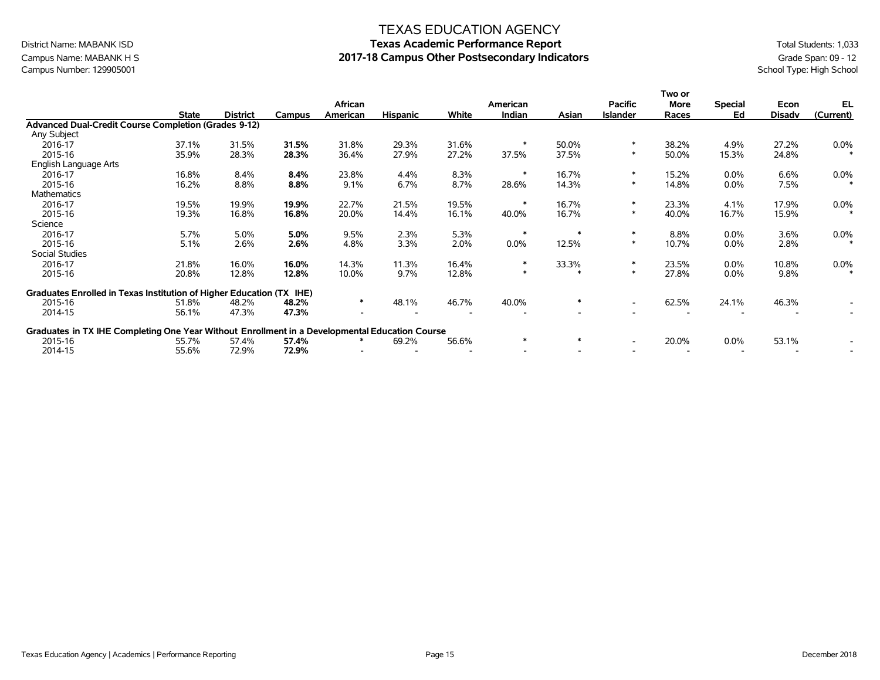### Campus Name: MABANK H S **2017-18 Campus Other Postsecondary Indicators** Grade Span: 09 - 12<br>Campus Number: 129905001<br>School Type: High School Campus Number: 129905001

#### TEXAS EDUCATION AGENCY

# District Name: MABANK ISD **Texas Academic Performance Report** Total Students: 1,033

|                                                                                                |              |                 |        |          |                 |       |          |        |                          | Two or      |                |               |           |
|------------------------------------------------------------------------------------------------|--------------|-----------------|--------|----------|-----------------|-------|----------|--------|--------------------------|-------------|----------------|---------------|-----------|
|                                                                                                |              |                 |        | African  |                 |       | American |        | <b>Pacific</b>           | <b>More</b> | <b>Special</b> | Econ          | EL        |
|                                                                                                | <b>State</b> | <b>District</b> | Campus | American | <b>Hispanic</b> | White | Indian   | Asian  | <b>Islander</b>          | Races       | Ed             | <b>Disadv</b> | (Current) |
| Advanced Dual-Credit Course Completion (Grades 9-12)                                           |              |                 |        |          |                 |       |          |        |                          |             |                |               |           |
| Any Subject                                                                                    |              |                 |        |          |                 |       |          |        |                          |             |                |               |           |
| 2016-17                                                                                        | 37.1%        | 31.5%           | 31.5%  | 31.8%    | 29.3%           | 31.6% |          | 50.0%  | $\ast$                   | 38.2%       | 4.9%           | 27.2%         | $0.0\%$   |
| 2015-16                                                                                        | 35.9%        | 28.3%           | 28.3%  | 36.4%    | 27.9%           | 27.2% | 37.5%    | 37.5%  | $\ast$                   | 50.0%       | 15.3%          | 24.8%         | $\ast$    |
| English Language Arts                                                                          |              |                 |        |          |                 |       |          |        |                          |             |                |               |           |
| 2016-17                                                                                        | 16.8%        | 8.4%            | 8.4%   | 23.8%    | 4.4%            | 8.3%  |          | 16.7%  | $\ast$                   | 15.2%       | 0.0%           | 6.6%          | $0.0\%$   |
| 2015-16                                                                                        | 16.2%        | 8.8%            | 8.8%   | 9.1%     | 6.7%            | 8.7%  | 28.6%    | 14.3%  | $\ast$                   | 14.8%       | $0.0\%$        | 7.5%          | $\ast$    |
| <b>Mathematics</b>                                                                             |              |                 |        |          |                 |       |          |        |                          |             |                |               |           |
| 2016-17                                                                                        | 19.5%        | 19.9%           | 19.9%  | 22.7%    | 21.5%           | 19.5% |          | 16.7%  | $\ast$                   | 23.3%       | 4.1%           | 17.9%         | $0.0\%$   |
| 2015-16                                                                                        | 19.3%        | 16.8%           | 16.8%  | 20.0%    | 14.4%           | 16.1% | 40.0%    | 16.7%  | $\ast$                   | 40.0%       | 16.7%          | 15.9%         | $\ast$    |
| Science                                                                                        |              |                 |        |          |                 |       |          |        |                          |             |                |               |           |
| 2016-17                                                                                        | 5.7%         | 5.0%            | 5.0%   | 9.5%     | 2.3%            | 5.3%  | $\ast$   |        | $\ast$                   | 8.8%        | $0.0\%$        | 3.6%          | $0.0\%$   |
| 2015-16                                                                                        | 5.1%         | 2.6%            | 2.6%   | 4.8%     | 3.3%            | 2.0%  | 0.0%     | 12.5%  | $\ast$                   | 10.7%       | $0.0\%$        | 2.8%          |           |
| Social Studies                                                                                 |              |                 |        |          |                 |       |          |        |                          |             |                |               |           |
| 2016-17                                                                                        | 21.8%        | 16.0%           | 16.0%  | 14.3%    | 11.3%           | 16.4% | $\ast$   | 33.3%  | $\ast$                   | 23.5%       | $0.0\%$        | 10.8%         | $0.0\%$   |
| 2015-16                                                                                        | 20.8%        | 12.8%           | 12.8%  | 10.0%    | 9.7%            | 12.8% | $\ast$   |        | $\ast$                   | 27.8%       | 0.0%           | 9.8%          | $\star$   |
|                                                                                                |              |                 |        |          |                 |       |          |        |                          |             |                |               |           |
| Graduates Enrolled in Texas Institution of Higher Education (TX IHE)                           |              |                 |        |          |                 |       |          |        |                          |             |                |               |           |
| 2015-16                                                                                        | 51.8%        | 48.2%           | 48.2%  | ∗        | 48.1%           | 46.7% | 40.0%    |        | $\overline{\phantom{a}}$ | 62.5%       | 24.1%          | 46.3%         |           |
| 2014-15                                                                                        | 56.1%        | 47.3%           | 47.3%  |          |                 |       |          |        |                          |             |                |               |           |
|                                                                                                |              |                 |        |          |                 |       |          |        |                          |             |                |               |           |
| Graduates in TX IHE Completing One Year Without Enrollment in a Developmental Education Course |              |                 |        |          |                 |       |          |        |                          |             |                |               |           |
| 2015-16                                                                                        | 55.7%        | 57.4%           | 57.4%  |          | 69.2%           | 56.6% | $\ast$   | $\ast$ | $\overline{\phantom{a}}$ | 20.0%       | $0.0\%$        | 53.1%         |           |
| 2014-15                                                                                        | 55.6%        | 72.9%           | 72.9%  |          |                 |       |          |        |                          |             |                |               |           |
|                                                                                                |              |                 |        |          |                 |       |          |        |                          |             |                |               |           |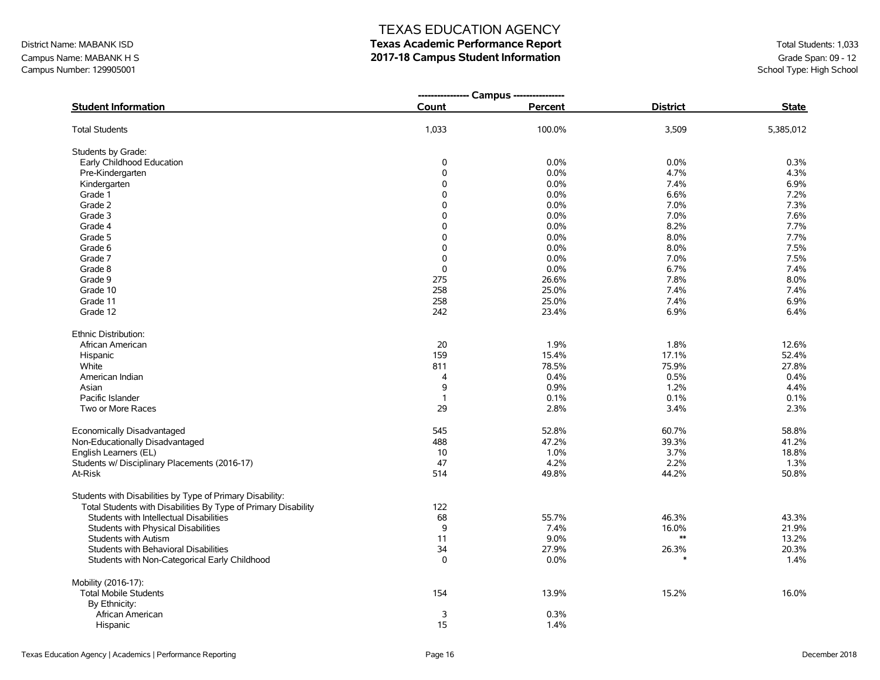**---------------- Campus ----------------**

| District Name: MABANK ISD | <b>Texas Academic Performance Report</b> | Total Students: 1,033    |
|---------------------------|------------------------------------------|--------------------------|
| Campus Name: MABANK H S   | 2017-18 Campus Student Information       | Grade Span: 09 - 12      |
| Campus Number: 129905001  |                                          | School Type: High School |

| <b>Student Information</b>                                     | Count          | Percent | <b>District</b> | <b>State</b> |
|----------------------------------------------------------------|----------------|---------|-----------------|--------------|
| <b>Total Students</b>                                          | 1,033          | 100.0%  | 3,509           | 5,385,012    |
| Students by Grade:                                             |                |         |                 |              |
| Early Childhood Education                                      | $\mathbf 0$    | 0.0%    | 0.0%            | 0.3%         |
| Pre-Kindergarten                                               | $\Omega$       | 0.0%    | 4.7%            | 4.3%         |
| Kindergarten                                                   | 0              | 0.0%    | 7.4%            | 6.9%         |
| Grade 1                                                        | 0              | 0.0%    | 6.6%            | 7.2%         |
| Grade 2                                                        | 0              | 0.0%    | 7.0%            | 7.3%         |
| Grade 3                                                        | 0              | 0.0%    | 7.0%            | 7.6%         |
| Grade 4                                                        | 0              | 0.0%    | 8.2%            | 7.7%         |
| Grade 5                                                        | 0              | 0.0%    | 8.0%            | 7.7%         |
| Grade 6                                                        | 0              | 0.0%    | 8.0%            | 7.5%         |
| Grade 7                                                        | $\mathbf 0$    | 0.0%    | 7.0%            | 7.5%         |
| Grade 8                                                        | $\mathbf 0$    | 0.0%    | 6.7%            | 7.4%         |
| Grade 9                                                        | 275            | 26.6%   | 7.8%            | 8.0%         |
| Grade 10                                                       | 258            | 25.0%   | 7.4%            | 7.4%         |
| Grade 11                                                       | 258            | 25.0%   | 7.4%            | 6.9%         |
| Grade 12                                                       | 242            | 23.4%   | 6.9%            | 6.4%         |
|                                                                |                |         |                 |              |
| Ethnic Distribution:                                           |                |         |                 |              |
| African American                                               | 20             | 1.9%    | 1.8%            | 12.6%        |
| Hispanic                                                       | 159            | 15.4%   | 17.1%           | 52.4%        |
| White                                                          | 811            | 78.5%   | 75.9%           | 27.8%        |
| American Indian                                                | $\overline{4}$ | 0.4%    | 0.5%            | 0.4%         |
| Asian                                                          | 9              | 0.9%    | 1.2%            | 4.4%         |
| Pacific Islander                                               | $\mathbf{1}$   | 0.1%    | 0.1%            | 0.1%         |
| Two or More Races                                              | 29             | 2.8%    | 3.4%            | 2.3%         |
| Economically Disadvantaged                                     | 545            | 52.8%   | 60.7%           | 58.8%        |
| Non-Educationally Disadvantaged                                | 488            | 47.2%   | 39.3%           | 41.2%        |
| English Learners (EL)                                          | 10             | 1.0%    | 3.7%            | 18.8%        |
| Students w/ Disciplinary Placements (2016-17)                  | 47             | 4.2%    | 2.2%            | 1.3%         |
| At-Risk                                                        | 514            | 49.8%   | 44.2%           | 50.8%        |
| Students with Disabilities by Type of Primary Disability:      |                |         |                 |              |
| Total Students with Disabilities By Type of Primary Disability | 122            |         |                 |              |
| Students with Intellectual Disabilities                        | 68             | 55.7%   | 46.3%           | 43.3%        |
| Students with Physical Disabilities                            | 9              | 7.4%    | 16.0%           | 21.9%        |
| <b>Students with Autism</b>                                    | 11             | 9.0%    | $**$            | 13.2%        |
| Students with Behavioral Disabilities                          | 34             | 27.9%   | 26.3%           | 20.3%        |
|                                                                | $\mathbf 0$    | 0.0%    |                 | 1.4%         |
| Students with Non-Categorical Early Childhood                  |                |         |                 |              |
| Mobility (2016-17):                                            |                |         |                 |              |
| <b>Total Mobile Students</b>                                   | 154            | 13.9%   | 15.2%           | 16.0%        |
| By Ethnicity:                                                  |                |         |                 |              |
| African American                                               | 3              | 0.3%    |                 |              |
| Hispanic                                                       | 15             | 1.4%    |                 |              |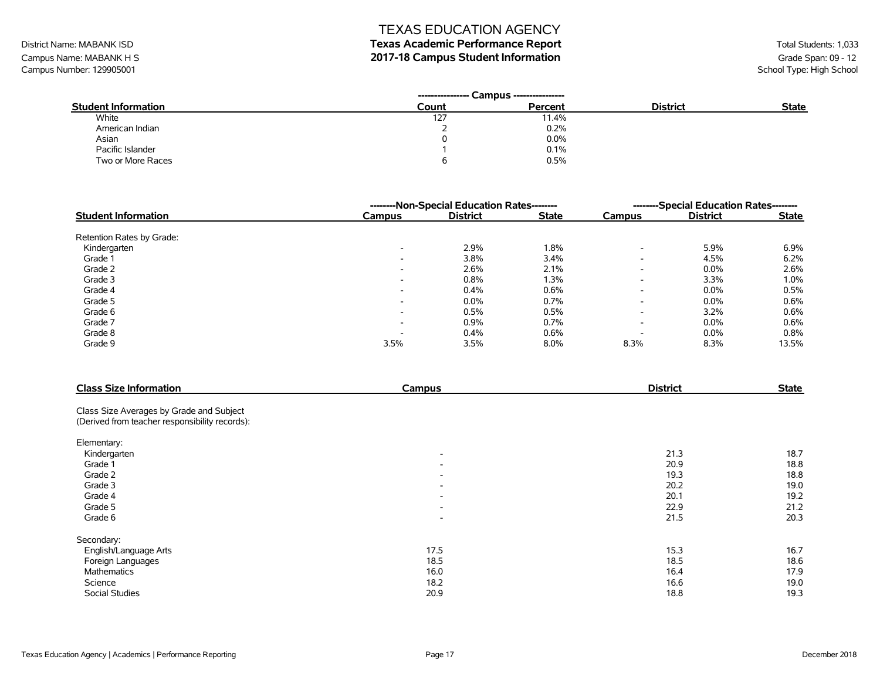# District Name: MABANK ISD **Texas Academic Performance Report Texas Academic Performance Report** Total Students: 1,033

Campus Name: MABANK H S<br>Campus Number: 129905001<br>School Type: High School Campus Number: 129905001

| <b>Student Information</b> | Count | Percent | <b>District</b> | <b>State</b> |
|----------------------------|-------|---------|-----------------|--------------|
| White                      | 127   | 11.4%   |                 |              |
| American Indian            |       | 0.2%    |                 |              |
| Asian                      |       | 0.0%    |                 |              |
| Pacific Islander           |       | 0.1%    |                 |              |
| Two or More Races          |       | 0.5%    |                 |              |

|                            | --------Non-Special Education Rates-------- | --------Special Education Rates-------- |              |                          |                 |              |
|----------------------------|---------------------------------------------|-----------------------------------------|--------------|--------------------------|-----------------|--------------|
| <b>Student Information</b> | <b>Campus</b>                               | <b>District</b>                         | <b>State</b> | Campus                   | <b>District</b> | <b>State</b> |
| Retention Rates by Grade:  |                                             |                                         |              |                          |                 |              |
| Kindergarten               | $\overline{\phantom{0}}$                    | 2.9%                                    | 1.8%         | $\overline{\phantom{0}}$ | 5.9%            | 6.9%         |
| Grade 1                    | $\overline{\phantom{0}}$                    | 3.8%                                    | 3.4%         | $\overline{\phantom{0}}$ | 4.5%            | 6.2%         |
| Grade 2                    | $\overline{\phantom{a}}$                    | 2.6%                                    | 2.1%         | $\overline{\phantom{a}}$ | 0.0%            | 2.6%         |
| Grade 3                    | $\overline{\phantom{0}}$                    | 0.8%                                    | 1.3%         | $\overline{\phantom{a}}$ | 3.3%            | 1.0%         |
| Grade 4                    | $\overline{\phantom{0}}$                    | 0.4%                                    | 0.6%         | $\overline{\phantom{a}}$ | 0.0%            | 0.5%         |
| Grade 5                    | $\overline{\phantom{a}}$                    | 0.0%                                    | 0.7%         | $\overline{\phantom{a}}$ | 0.0%            | 0.6%         |
| Grade 6                    | $\overline{\phantom{0}}$                    | 0.5%                                    | 0.5%         | $\overline{\phantom{0}}$ | 3.2%            | 0.6%         |
| Grade 7                    | $\overline{\phantom{0}}$                    | 0.9%                                    | 0.7%         | $\overline{\phantom{a}}$ | 0.0%            | 0.6%         |
| Grade 8                    | -                                           | 0.4%                                    | 0.6%         | $\overline{\phantom{0}}$ | 0.0%            | 0.8%         |
| Grade 9                    | 3.5%                                        | 3.5%                                    | 8.0%         | 8.3%                     | 8.3%            | 13.5%        |

| <b>Class Size Information</b>                  | Campus                   | <b>District</b> | <b>State</b> |
|------------------------------------------------|--------------------------|-----------------|--------------|
| Class Size Averages by Grade and Subject       |                          |                 |              |
| (Derived from teacher responsibility records): |                          |                 |              |
| Elementary:                                    |                          |                 |              |
| Kindergarten                                   | $\overline{\phantom{a}}$ | 21.3            | 18.7         |
| Grade 1                                        | $\overline{\phantom{a}}$ | 20.9            | 18.8         |
| Grade 2                                        | $\overline{\phantom{a}}$ | 19.3            | 18.8         |
| Grade 3                                        | $\overline{\phantom{a}}$ | 20.2            | 19.0         |
| Grade 4                                        | $\overline{\phantom{a}}$ | 20.1            | 19.2         |
| Grade 5                                        | $\overline{\phantom{a}}$ | 22.9            | 21.2         |
| Grade 6                                        | $\overline{\phantom{a}}$ | 21.5            | 20.3         |
| Secondary:                                     |                          |                 |              |
| English/Language Arts                          | 17.5                     | 15.3            | 16.7         |
| Foreign Languages                              | 18.5                     | 18.5            | 18.6         |
| Mathematics                                    | 16.0                     | 16.4            | 17.9         |
| Science                                        | 18.2                     | 16.6            | 19.0         |
| <b>Social Studies</b>                          | 20.9                     | 18.8            | 19.3         |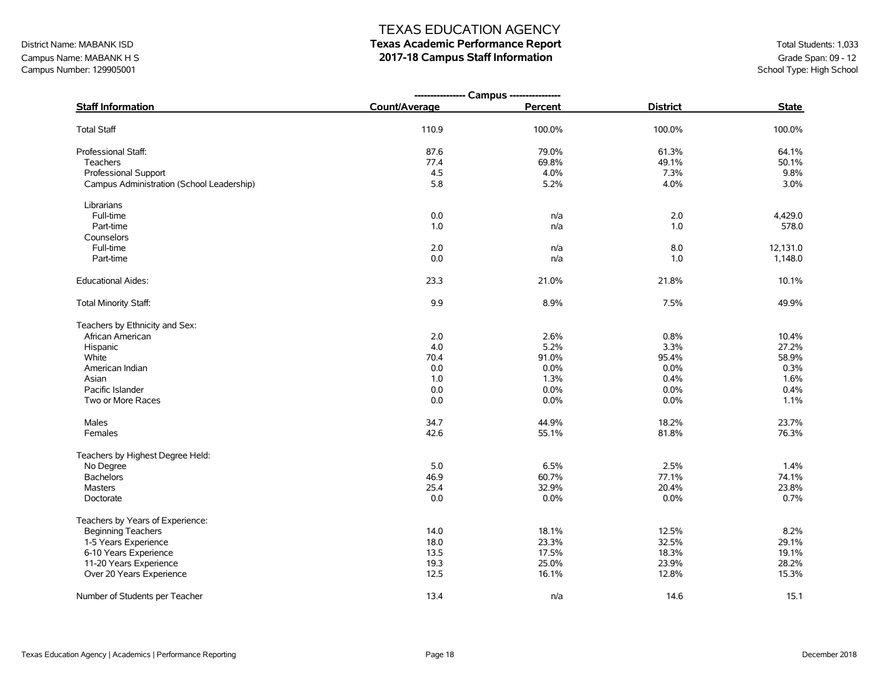## District Name: MABANK ISD **Texas Academic Performance Report Texas Academic Performance Report** Total Students: 1,033

Campus Name: MABANK H S<br>Campus Number: 129905001<br>School Type: High School Campus Number: 129905001

|                                           | ---------------- Campus ---------------- |         |                 |              |
|-------------------------------------------|------------------------------------------|---------|-----------------|--------------|
| <b>Staff Information</b>                  | Count/Average                            | Percent | <b>District</b> | <b>State</b> |
| <b>Total Staff</b>                        | 110.9                                    | 100.0%  | 100.0%          | 100.0%       |
| Professional Staff:                       | 87.6                                     | 79.0%   | 61.3%           | 64.1%        |
| Teachers                                  | 77.4                                     | 69.8%   | 49.1%           | 50.1%        |
| Professional Support                      | 4.5                                      | 4.0%    | 7.3%            | 9.8%         |
| Campus Administration (School Leadership) | 5.8                                      | 5.2%    | 4.0%            | 3.0%         |
| Librarians                                |                                          |         |                 |              |
| Full-time                                 | $0.0\,$                                  | n/a     | 2.0             | 4,429.0      |
| Part-time                                 | 1.0                                      | n/a     | 1.0             | 578.0        |
| Counselors                                |                                          |         |                 |              |
| Full-time                                 | 2.0                                      | n/a     | 8.0             | 12,131.0     |
| Part-time                                 | 0.0                                      | n/a     | 1.0             | 1,148.0      |
| <b>Educational Aides:</b>                 | 23.3                                     | 21.0%   | 21.8%           | 10.1%        |
| Total Minority Staff:                     | 9.9                                      | 8.9%    | 7.5%            | 49.9%        |
| Teachers by Ethnicity and Sex:            |                                          |         |                 |              |
| African American                          | 2.0                                      | 2.6%    | 0.8%            | 10.4%        |
| Hispanic                                  | 4.0                                      | 5.2%    | 3.3%            | 27.2%        |
| White                                     | 70.4                                     | 91.0%   | 95.4%           | 58.9%        |
| American Indian                           | 0.0                                      | 0.0%    | 0.0%            | 0.3%         |
| Asian                                     | 1.0                                      | 1.3%    | 0.4%            | 1.6%         |
| Pacific Islander                          | 0.0                                      | 0.0%    | 0.0%            | 0.4%         |
| Two or More Races                         | 0.0                                      | 0.0%    | 0.0%            | 1.1%         |
| Males                                     | 34.7                                     | 44.9%   | 18.2%           | 23.7%        |
| Females                                   | 42.6                                     | 55.1%   | 81.8%           | 76.3%        |
| Teachers by Highest Degree Held:          |                                          |         |                 |              |
| No Degree                                 | 5.0                                      | 6.5%    | 2.5%            | 1.4%         |
| <b>Bachelors</b>                          | 46.9                                     | 60.7%   | 77.1%           | 74.1%        |
| <b>Masters</b>                            | 25.4                                     | 32.9%   | 20.4%           | 23.8%        |
| Doctorate                                 | 0.0                                      | $0.0\%$ | $0.0\%$         | 0.7%         |
| Teachers by Years of Experience:          |                                          |         |                 |              |
| <b>Beginning Teachers</b>                 | 14.0                                     | 18.1%   | 12.5%           | 8.2%         |
| 1-5 Years Experience                      | 18.0                                     | 23.3%   | 32.5%           | 29.1%        |
| 6-10 Years Experience                     | 13.5                                     | 17.5%   | 18.3%           | 19.1%        |
| 11-20 Years Experience                    | 19.3                                     | 25.0%   | 23.9%           | 28.2%        |
| Over 20 Years Experience                  | 12.5                                     | 16.1%   | 12.8%           | 15.3%        |
| Number of Students per Teacher            | 13.4                                     | n/a     | 14.6            | 15.1         |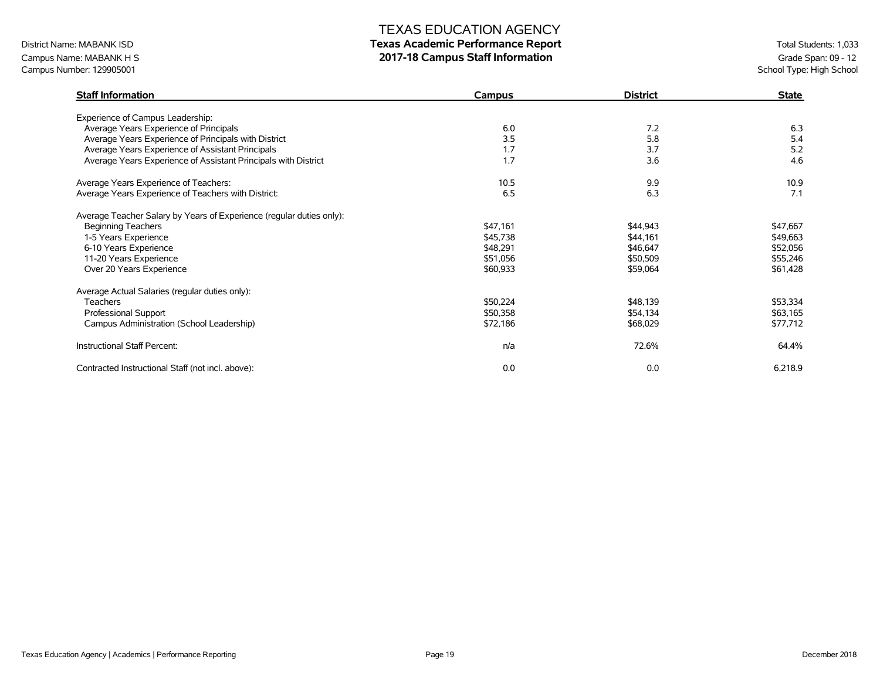### District Name: MABANK ISD **Texas Academic Performance Report Texas Academic Performance Report** Total Students: 1,033

Campus Name: MABANK H S<br>Campus Number: 129905001<br>School Type: High School Campus Number: 129905001

| <b>Staff Information</b>                                             | Campus   | <b>District</b> | <b>State</b> |
|----------------------------------------------------------------------|----------|-----------------|--------------|
| Experience of Campus Leadership:                                     |          |                 |              |
| Average Years Experience of Principals                               | 6.0      | 7.2             | 6.3          |
| Average Years Experience of Principals with District                 | 3.5      | 5.8             | 5.4          |
| Average Years Experience of Assistant Principals                     | 1.7      | 3.7             | 5.2          |
| Average Years Experience of Assistant Principals with District       | 1,7      | 3.6             | 4.6          |
| Average Years Experience of Teachers:                                | 10.5     | 9.9             | 10.9         |
| Average Years Experience of Teachers with District:                  | 6.5      | 6.3             | 7.1          |
| Average Teacher Salary by Years of Experience (regular duties only): |          |                 |              |
| <b>Beginning Teachers</b>                                            | \$47,161 | \$44,943        | \$47,667     |
| 1-5 Years Experience                                                 | \$45,738 | \$44,161        | \$49,663     |
| 6-10 Years Experience                                                | \$48,291 | \$46,647        | \$52,056     |
| 11-20 Years Experience                                               | \$51,056 | \$50,509        | \$55,246     |
| Over 20 Years Experience                                             | \$60,933 | \$59,064        | \$61,428     |
| Average Actual Salaries (regular duties only):                       |          |                 |              |
| <b>Teachers</b>                                                      | \$50,224 | \$48,139        | \$53,334     |
| Professional Support                                                 | \$50,358 | \$54,134        | \$63,165     |
| Campus Administration (School Leadership)                            | \$72,186 | \$68,029        | \$77,712     |
| Instructional Staff Percent:                                         | n/a      | 72.6%           | 64.4%        |
| Contracted Instructional Staff (not incl. above):                    | 0.0      | 0.0             | 6,218.9      |